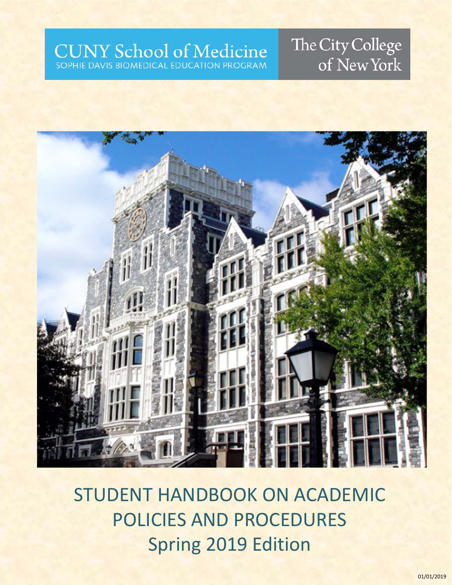## **CUNY School of Medicine** SOPHIE DAVIS BIOMEDICAL EDUCATION PROGRAM

# The City College of New York



STUDENT HANDBOOK ON ACADEMIC POLICIES AND PROCEDURES Spring 2019 Edition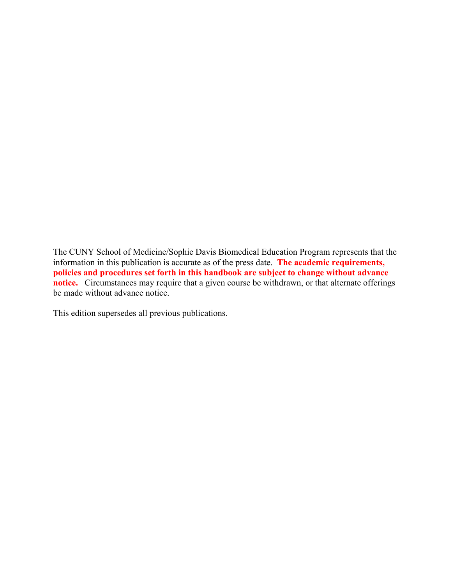The CUNY School of Medicine/Sophie Davis Biomedical Education Program represents that the information in this publication is accurate as of the press date. **The academic requirements, policies and procedures set forth in this handbook are subject to change without advance notice.** Circumstances may require that a given course be withdrawn, or that alternate offerings be made without advance notice.

This edition supersedes all previous publications.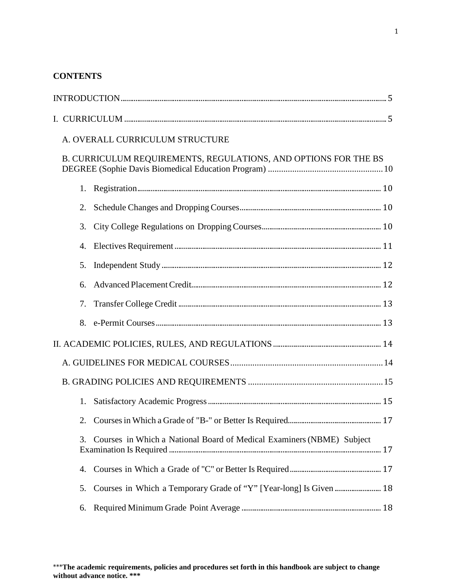## **CONTENTS**

|    | A. OVERALL CURRICULUM STRUCTURE                                       |  |  |  |
|----|-----------------------------------------------------------------------|--|--|--|
|    | B. CURRICULUM REQUIREMENTS, REGULATIONS, AND OPTIONS FOR THE BS       |  |  |  |
|    |                                                                       |  |  |  |
| 2. |                                                                       |  |  |  |
| 3. |                                                                       |  |  |  |
| 4. |                                                                       |  |  |  |
| 5. |                                                                       |  |  |  |
| 6. |                                                                       |  |  |  |
| 7. |                                                                       |  |  |  |
|    |                                                                       |  |  |  |
|    |                                                                       |  |  |  |
|    |                                                                       |  |  |  |
|    |                                                                       |  |  |  |
| 1. |                                                                       |  |  |  |
|    |                                                                       |  |  |  |
| 3. | Courses in Which a National Board of Medical Examiners (NBME) Subject |  |  |  |
| 4. |                                                                       |  |  |  |
| 5. |                                                                       |  |  |  |
| 6. |                                                                       |  |  |  |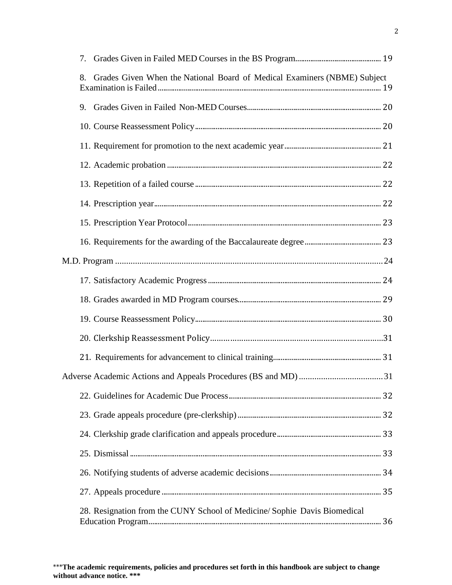| 7. |                                                                          |  |
|----|--------------------------------------------------------------------------|--|
| 8. | Grades Given When the National Board of Medical Examiners (NBME) Subject |  |
|    |                                                                          |  |
|    |                                                                          |  |
|    |                                                                          |  |
|    |                                                                          |  |
|    |                                                                          |  |
|    |                                                                          |  |
|    |                                                                          |  |
|    |                                                                          |  |
|    |                                                                          |  |
|    |                                                                          |  |
|    |                                                                          |  |
|    |                                                                          |  |
|    |                                                                          |  |
|    |                                                                          |  |
|    |                                                                          |  |
|    |                                                                          |  |
|    |                                                                          |  |
|    |                                                                          |  |
|    |                                                                          |  |
|    |                                                                          |  |
|    |                                                                          |  |
|    | 28. Resignation from the CUNY School of Medicine/Sophie Davis Biomedical |  |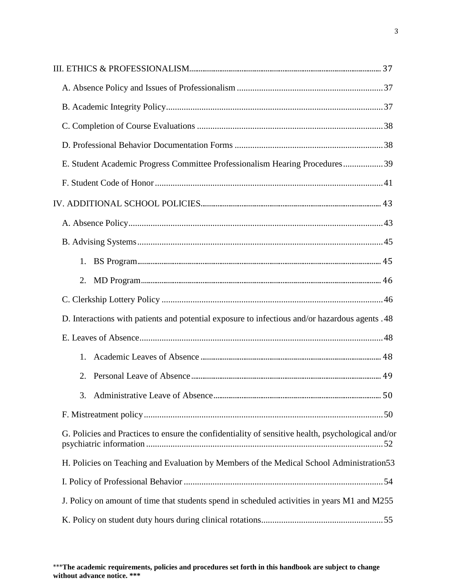| E. Student Academic Progress Committee Professionalism Hearing Procedures39                       |  |  |  |  |
|---------------------------------------------------------------------------------------------------|--|--|--|--|
|                                                                                                   |  |  |  |  |
|                                                                                                   |  |  |  |  |
|                                                                                                   |  |  |  |  |
|                                                                                                   |  |  |  |  |
| 1.                                                                                                |  |  |  |  |
| 2.                                                                                                |  |  |  |  |
|                                                                                                   |  |  |  |  |
| D. Interactions with patients and potential exposure to infectious and/or hazardous agents .48    |  |  |  |  |
|                                                                                                   |  |  |  |  |
| 1.                                                                                                |  |  |  |  |
| 2.                                                                                                |  |  |  |  |
|                                                                                                   |  |  |  |  |
|                                                                                                   |  |  |  |  |
| G. Policies and Practices to ensure the confidentiality of sensitive health, psychological and/or |  |  |  |  |
| H. Policies on Teaching and Evaluation by Members of the Medical School Administration 53         |  |  |  |  |
|                                                                                                   |  |  |  |  |
| J. Policy on amount of time that students spend in scheduled activities in years M1 and M255      |  |  |  |  |
|                                                                                                   |  |  |  |  |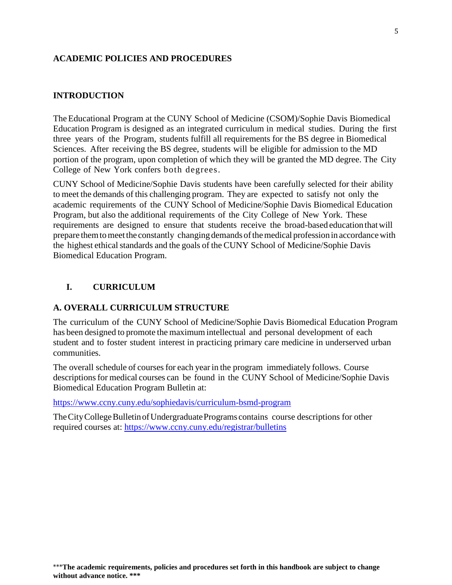#### **ACADEMIC POLICIES AND PROCEDURES**

#### <span id="page-6-0"></span>**INTRODUCTION**

The Educational Program at the CUNY School of Medicine (CSOM)/Sophie Davis Biomedical Education Program is designed as an integrated curriculum in medical studies. During the first three years of the Program, students fulfill all requirements for the BS degree in Biomedical Sciences. After receiving the BS degree, students will be eligible for admission to the MD portion of the program, upon completion of which they will be granted the MD degree. The City College of New York confers both degrees.

CUNY School of Medicine/Sophie Davis students have been carefully selected for their ability to meet the demands of this challenging program. They are expected to satisfy not only the academic requirements of the CUNY School of Medicine/Sophie Davis Biomedical Education Program, but also the additional requirements of the City College of New York. These requirements are designed to ensure that students receive the broad-based education thatwill prepare themtomeetthe constantly changingdemands ofthemedical profession in accordancewith the highest ethical standards and the goals of the CUNY School of Medicine/Sophie Davis Biomedical Education Program.

#### <span id="page-6-1"></span>**I. CURRICULUM**

#### **A. OVERALL CURRICULUM STRUCTURE**

The curriculum of the CUNY School of Medicine/Sophie Davis Biomedical Education Program has been designed to promote the maximum intellectual and personal development of each student and to foster student interest in practicing primary care medicine in underserved urban communities.

The overall schedule of courses for each year in the program immediately follows. Course descriptions for medical courses can be found in the CUNY School of Medicine/Sophie Davis Biomedical Education Program Bulletin at:

<https://www.ccny.cuny.edu/sophiedavis/curriculum-bsmd-program>

The City College Bulletin of Undergraduate Programs contains course descriptions for other required courses at: <https://www.ccny.cuny.edu/registrar/bulletins>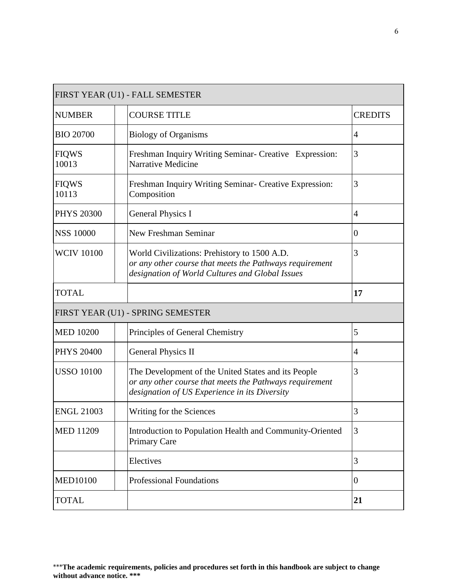|                       | FIRST YEAR (U1) - FALL SEMESTER                                                                                                                                 |                  |
|-----------------------|-----------------------------------------------------------------------------------------------------------------------------------------------------------------|------------------|
| <b>NUMBER</b>         | <b>COURSE TITLE</b>                                                                                                                                             | <b>CREDITS</b>   |
| <b>BIO 20700</b>      | <b>Biology of Organisms</b>                                                                                                                                     | 4                |
| <b>FIQWS</b><br>10013 | Freshman Inquiry Writing Seminar- Creative Expression:<br>Narrative Medicine                                                                                    | 3                |
| <b>FIQWS</b><br>10113 | Freshman Inquiry Writing Seminar- Creative Expression:<br>Composition                                                                                           | 3                |
| <b>PHYS 20300</b>     | <b>General Physics I</b>                                                                                                                                        | 4                |
| <b>NSS 10000</b>      | New Freshman Seminar                                                                                                                                            | $\boldsymbol{0}$ |
| <b>WCIV 10100</b>     | World Civilizations: Prehistory to 1500 A.D.<br>or any other course that meets the Pathways requirement<br>designation of World Cultures and Global Issues      | 3                |
| <b>TOTAL</b>          |                                                                                                                                                                 | 17               |
|                       | FIRST YEAR (U1) - SPRING SEMESTER                                                                                                                               |                  |
| <b>MED 10200</b>      | Principles of General Chemistry                                                                                                                                 | 5                |
| <b>PHYS 20400</b>     | <b>General Physics II</b>                                                                                                                                       | $\overline{4}$   |
| <b>USSO 10100</b>     | The Development of the United States and its People<br>or any other course that meets the Pathways requirement<br>designation of US Experience in its Diversity | 3                |
| <b>ENGL 21003</b>     | Writing for the Sciences                                                                                                                                        | 3                |
| <b>MED 11209</b>      | Introduction to Population Health and Community-Oriented<br><b>Primary Care</b>                                                                                 | 3                |
|                       | Electives                                                                                                                                                       | 3                |
| <b>MED10100</b>       | <b>Professional Foundations</b>                                                                                                                                 | $\overline{0}$   |
| <b>TOTAL</b>          |                                                                                                                                                                 | 21               |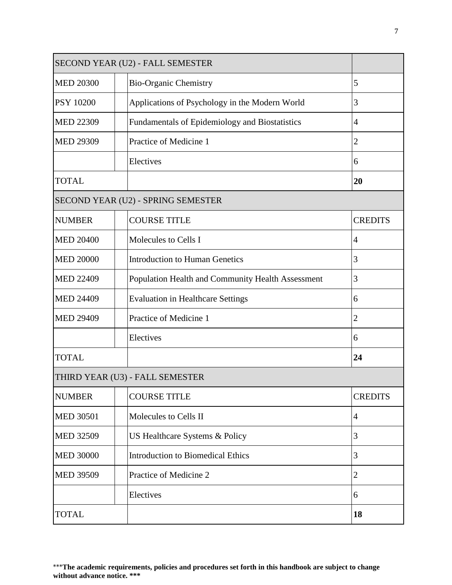|                  | SECOND YEAR (U2) - FALL SEMESTER                  |                |
|------------------|---------------------------------------------------|----------------|
| <b>MED 20300</b> | <b>Bio-Organic Chemistry</b>                      | 5              |
| <b>PSY 10200</b> | Applications of Psychology in the Modern World    | 3              |
| <b>MED 22309</b> | Fundamentals of Epidemiology and Biostatistics    | $\overline{4}$ |
| <b>MED 29309</b> | Practice of Medicine 1                            | $\overline{2}$ |
|                  | Electives                                         | 6              |
| <b>TOTAL</b>     |                                                   | 20             |
|                  | SECOND YEAR (U2) - SPRING SEMESTER                |                |
| <b>NUMBER</b>    | <b>COURSE TITLE</b>                               | <b>CREDITS</b> |
| <b>MED 20400</b> | Molecules to Cells I                              | 4              |
| <b>MED 20000</b> | <b>Introduction to Human Genetics</b>             | 3              |
| <b>MED 22409</b> | Population Health and Community Health Assessment | 3              |
| <b>MED 24409</b> | <b>Evaluation in Healthcare Settings</b>          | 6              |
| <b>MED 29409</b> | Practice of Medicine 1                            | $\mathfrak{2}$ |
|                  | Electives                                         | 6              |
| <b>TOTAL</b>     |                                                   | 24             |
|                  | THIRD YEAR (U3) - FALL SEMESTER                   |                |
| <b>NUMBER</b>    | <b>COURSE TITLE</b>                               | <b>CREDITS</b> |
| <b>MED 30501</b> | Molecules to Cells II                             | $\overline{4}$ |
| <b>MED 32509</b> | US Healthcare Systems & Policy                    | 3              |
| <b>MED 30000</b> | <b>Introduction to Biomedical Ethics</b>          | 3              |
| <b>MED 39509</b> | Practice of Medicine 2                            | $\mathfrak{2}$ |
|                  | Electives                                         | 6              |
| <b>TOTAL</b>     |                                                   | 18             |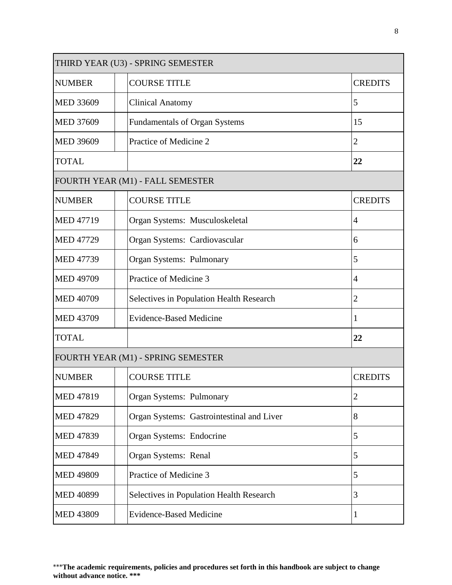| THIRD YEAR (U3) - SPRING SEMESTER |  |                                           |  |                |
|-----------------------------------|--|-------------------------------------------|--|----------------|
| <b>NUMBER</b>                     |  | <b>COURSE TITLE</b>                       |  | <b>CREDITS</b> |
| <b>MED 33609</b>                  |  | <b>Clinical Anatomy</b>                   |  | 5              |
| <b>MED 37609</b>                  |  | <b>Fundamentals of Organ Systems</b>      |  | 15             |
| <b>MED 39609</b>                  |  | Practice of Medicine 2                    |  | $\overline{c}$ |
| <b>TOTAL</b>                      |  |                                           |  | 22             |
|                                   |  | FOURTH YEAR (M1) - FALL SEMESTER          |  |                |
| <b>NUMBER</b>                     |  | <b>COURSE TITLE</b>                       |  | <b>CREDITS</b> |
| <b>MED 47719</b>                  |  | Organ Systems: Musculoskeletal            |  | 4              |
| <b>MED 47729</b>                  |  | Organ Systems: Cardiovascular             |  | 6              |
| <b>MED 47739</b>                  |  | Organ Systems: Pulmonary                  |  | 5              |
| <b>MED 49709</b>                  |  | Practice of Medicine 3                    |  | 4              |
| <b>MED 40709</b>                  |  | Selectives in Population Health Research  |  | $\overline{2}$ |
| <b>MED 43709</b>                  |  | <b>Evidence-Based Medicine</b>            |  | 1              |
| <b>TOTAL</b>                      |  |                                           |  | 22             |
|                                   |  | FOURTH YEAR (M1) - SPRING SEMESTER        |  |                |
| <b>NUMBER</b>                     |  | <b>COURSE TITLE</b>                       |  | <b>CREDITS</b> |
| <b>MED 47819</b>                  |  | Organ Systems: Pulmonary                  |  | 2              |
| <b>MED 47829</b>                  |  | Organ Systems: Gastrointestinal and Liver |  | 8              |
| <b>MED 47839</b>                  |  | Organ Systems: Endocrine                  |  | 5              |
| <b>MED 47849</b>                  |  | Organ Systems: Renal                      |  | 5              |
| <b>MED 49809</b>                  |  | Practice of Medicine 3                    |  | 5              |
| <b>MED 40899</b>                  |  | Selectives in Population Health Research  |  | 3              |
| <b>MED 43809</b>                  |  | <b>Evidence-Based Medicine</b>            |  | 1              |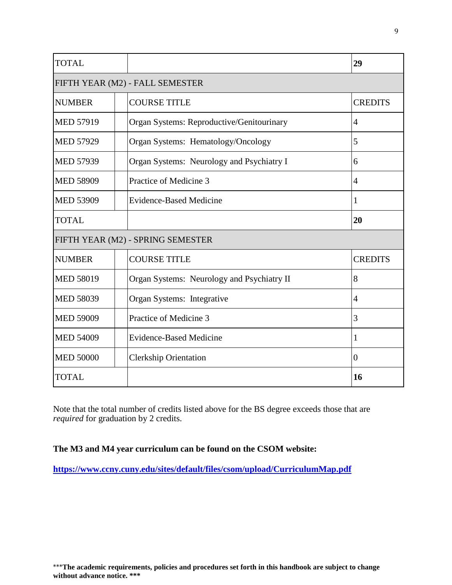| <b>TOTAL</b>     |                                            | 29             |
|------------------|--------------------------------------------|----------------|
|                  | FIFTH YEAR (M2) - FALL SEMESTER            |                |
| <b>NUMBER</b>    | <b>COURSE TITLE</b>                        | <b>CREDITS</b> |
| <b>MED 57919</b> | Organ Systems: Reproductive/Genitourinary  | $\overline{4}$ |
| <b>MED 57929</b> | Organ Systems: Hematology/Oncology         | 5              |
| <b>MED 57939</b> | Organ Systems: Neurology and Psychiatry I  | 6              |
| <b>MED 58909</b> | Practice of Medicine 3                     | $\overline{4}$ |
| <b>MED 53909</b> | <b>Evidence-Based Medicine</b>             | 1              |
| <b>TOTAL</b>     |                                            | 20             |
|                  | FIFTH YEAR (M2) - SPRING SEMESTER          |                |
| <b>NUMBER</b>    | <b>COURSE TITLE</b>                        | <b>CREDITS</b> |
| <b>MED 58019</b> | Organ Systems: Neurology and Psychiatry II | 8              |
| <b>MED 58039</b> | Organ Systems: Integrative                 | $\overline{4}$ |
| <b>MED 59009</b> | Practice of Medicine 3                     | 3              |
| <b>MED 54009</b> | <b>Evidence-Based Medicine</b>             | 1              |
| <b>MED 50000</b> | <b>Clerkship Orientation</b>               | $\overline{0}$ |
| <b>TOTAL</b>     |                                            | 16             |

Note that the total number of credits listed above for the BS degree exceeds those that are *required* for graduation by 2 credits.

## **The M3 and M4 year curriculum can be found on the CSOM website:**

**<https://www.ccny.cuny.edu/sites/default/files/csom/upload/CurriculumMap.pdf>**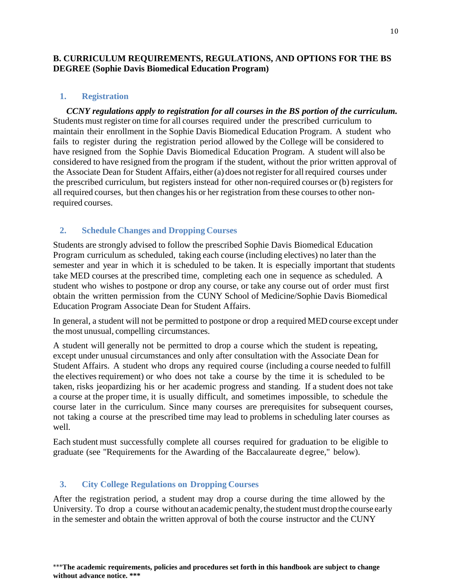## <span id="page-11-0"></span>**B. CURRICULUM REQUIREMENTS, REGULATIONS, AND OPTIONS FOR THE BS DEGREE (Sophie Davis Biomedical Education Program)**

#### <span id="page-11-1"></span>**1. Registration**

*CCNY regulations apply to registration for all courses in the BS portion of the curriculum.* Students must register on time for all courses required under the prescribed curriculum to maintain their enrollment in the Sophie Davis Biomedical Education Program. A student who fails to register during the registration period allowed by the College will be considered to have resigned from the Sophie Davis Biomedical Education Program. A student will also be considered to have resigned from the program if the student, without the prior written approval of the Associate Dean for Student Affairs, either(a) does notregisterfor allrequired courses under the prescribed curriculum, but registers instead for other non-required courses or (b) registers for all required courses, but then changes his or her registration from these courses to other nonrequired courses.

## <span id="page-11-2"></span>**2. Schedule Changes and Dropping Courses**

Students are strongly advised to follow the prescribed Sophie Davis Biomedical Education Program curriculum as scheduled, taking each course (including electives) no later than the semester and year in which it is scheduled to be taken. It is especially important that students take MED courses at the prescribed time, completing each one in sequence as scheduled. A student who wishes to postpone or drop any course, or take any course out of order must first obtain the written permission from the CUNY School of Medicine/Sophie Davis Biomedical Education Program Associate Dean for Student Affairs.

In general, a student will not be permitted to postpone or drop a required MED course except under the most unusual, compelling circumstances.

A student will generally not be permitted to drop a course which the student is repeating, except under unusual circumstances and only after consultation with the Associate Dean for Student Affairs. A student who drops any required course (including a course needed to fulfill the electives requirement) or who does not take a course by the time it is scheduled to be taken, risks jeopardizing his or her academic progress and standing. If a student does not take a course at the proper time, it is usually difficult, and sometimes impossible, to schedule the course later in the curriculum. Since many courses are prerequisites for subsequent courses, not taking a course at the prescribed time may lead to problems in scheduling later courses as well.

Each student must successfully complete all courses required for graduation to be eligible to graduate (see "Requirements for the Awarding of the Baccalaureate d egree," below).

#### <span id="page-11-3"></span>**3. City College Regulations on Dropping Courses**

After the registration period, a student may drop a course during the time allowed by the University. To drop a course without an academic penalty, the student must drop the course early in the semester and obtain the written approval of both the course instructor and the CUNY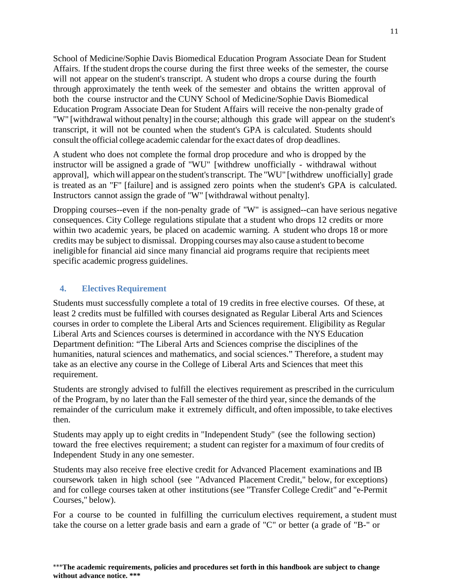School of Medicine/Sophie Davis Biomedical Education Program Associate Dean for Student Affairs. If the student drops the course during the first three weeks of the semester, the course will not appear on the student's transcript. A student who drops a course during the fourth through approximately the tenth week of the semester and obtains the written approval of both the course instructor and the CUNY School of Medicine/Sophie Davis Biomedical Education Program Associate Dean for Student Affairs will receive the non-penalty grade of "W" [withdrawal without penalty] in the course; although this grade will appear on the student's transcript, it will not be counted when the student's GPA is calculated. Students should consult the official college academic calendarforthe exact dates of drop deadlines.

A student who does not complete the formal drop procedure and who is dropped by the instructor will be assigned a grade of "WU" [withdrew unofficially - withdrawal without approval], which will appear on the student'stranscript. The "WU" [withdrew unofficially] grade is treated as an "F" [failure] and is assigned zero points when the student's GPA is calculated. Instructors cannot assign the grade of "W" [withdrawal without penalty].

Dropping courses--even if the non-penalty grade of "W" is assigned--can have serious negative consequences. City College regulations stipulate that a student who drops 12 credits or more within two academic years, be placed on academic warning. A student who drops 18 or more credits may be subject to dismissal. Dropping coursesmay also cause a student to become ineligible for financial aid since many financial aid programs require that recipients meet specific academic progress guidelines.

#### <span id="page-12-0"></span>**4. Electives Requirement**

Students must successfully complete a total of 19 credits in free elective courses. Of these, at least 2 credits must be fulfilled with courses designated as Regular Liberal Arts and Sciences courses in order to complete the Liberal Arts and Sciences requirement. Eligibility as Regular Liberal Arts and Sciences courses is determined in accordance with the NYS Education Department definition: "The Liberal Arts and Sciences comprise the disciplines of the humanities, natural sciences and mathematics, and social sciences." Therefore, a student may take as an elective any course in the College of Liberal Arts and Sciences that meet this requirement.

Students are strongly advised to fulfill the electives requirement as prescribed in the curriculum of the Program, by no later than the Fall semester of the third year, since the demands of the remainder of the curriculum make it extremely difficult, and often impossible, to take electives then.

Students may apply up to eight credits in "Independent Study" (see the following section) toward the free electives requirement; a student can register for a maximum of four credits of Independent Study in any one semester.

Students may also receive free elective credit for Advanced Placement examinations and IB coursework taken in high school (see "Advanced Placement Credit," below, for exceptions) and for college courses taken at other institutions (see "Transfer College Credit" and "e-Permit Courses," below).

For a course to be counted in fulfilling the curriculum electives requirement, a student must take the course on a letter grade basis and earn a grade of "C" or better (a grade of "B-" or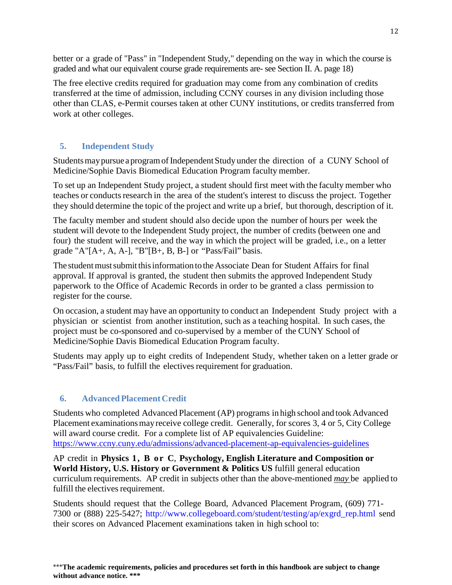better or a grade of "Pass" in "Independent Study," depending on the way in which the course is graded and what our equivalent course grade requirements are- see Section II. A. page 18)

The free elective credits required for graduation may come from any combination of credits transferred at the time of admission, including CCNY courses in any division including those other than CLAS, e-Permit courses taken at other CUNY institutions, or credits transferred from work at other colleges.

## <span id="page-13-0"></span>**5. Independent Study**

Students may pursue a program of Independent Study under the direction of a CUNY School of Medicine/Sophie Davis Biomedical Education Program faculty member.

To set up an Independent Study project, a student should first meet with the faculty member who teaches or conducts research in the area of the student's interest to discuss the project. Together they should determine the topic of the project and write up a brief, but thorough, description of it.

The faculty member and student should also decide upon the number of hours per week the student will devote to the Independent Study project, the number of credits (between one and four) the student will receive, and the way in which the project will be graded, i.e., on a letter grade "A" $[A+, A, A-]$ , "B" $[B+, B, B-]$  or "Pass/Fail" basis.

The student must submit this information to the Associate Dean for Student Affairs for final approval. If approval is granted, the student then submits the approved Independent Study paperwork to the Office of Academic Records in order to be granted a class permission to register for the course.

On occasion, a student may have an opportunity to conduct an Independent Study project with a physician or scientist from another institution, such as a teaching hospital. In such cases, the project must be co-sponsored and co-supervised by a member of the CUNY School of Medicine/Sophie Davis Biomedical Education Program faculty.

Students may apply up to eight credits of Independent Study, whether taken on a letter grade or "Pass/Fail" basis, to fulfill the electives requirement for graduation.

## <span id="page-13-1"></span>**6. Advanced Placement Credit**

Students who completed Advanced Placement (AP) programs in high school and tookAdvanced Placement examinationsmayreceive college credit. Generally, for scores 3, 4 or 5, City College will award course credit. For a complete list of AP equivalencies Guideline: <https://www.ccny.cuny.edu/admissions/advanced-placement-ap-equivalencies-guidelines>

AP credit in **Physics 1, B or C**, **Psychology, English Literature and Composition or World History, U.S. History or Government & Politics US** fulfill general education curriculum requirements. AP credit in subjects other than the above-mentioned *may* be applied to fulfill the electives requirement.

Students should request that the College Board, Advanced Placement Program, (609) 771- 7300 or (888) 225-5427; [http://www.collegeboard.com/student/testing/ap/exgrd\\_rep.html](http://www.collegeboard.com/student/testing/ap/exgrd_rep.html) send their scores on Advanced Placement examinations taken in high school to: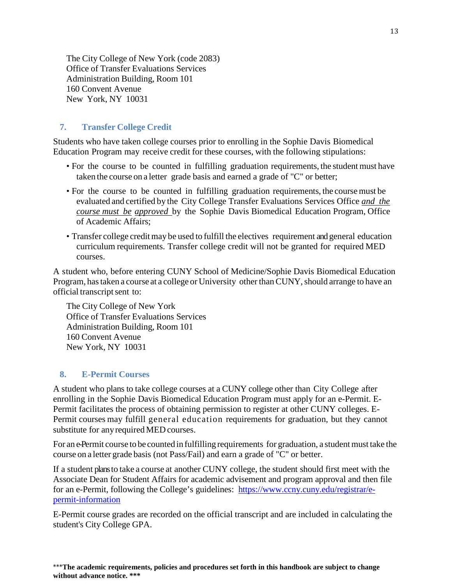The City College of New York (code 2083) Office of Transfer Evaluations Services Administration Building, Room 101 160 Convent Avenue New York, NY 10031

#### <span id="page-14-0"></span>**7. Transfer College Credit**

Students who have taken college courses prior to enrolling in the Sophie Davis Biomedical Education Program may receive credit for these courses, with the following stipulations:

- For the course to be counted in fulfilling graduation requirements, the student must have taken the course on a letter grade basis and earned a grade of "C" or better;
- For the course to be counted in fulfilling graduation requirements, the course must be evaluated and certified by the City College Transfer Evaluations Services Office *and the course must be approved* by the Sophie Davis Biomedical Education Program, Office of Academic Affairs;
- Transfer college credit may be used to fulfill the electives requirement and general education curriculum requirements. Transfer college credit will not be granted for required MED courses.

A student who, before entering CUNY School of Medicine/Sophie Davis Biomedical Education Program, has taken a course at a college or University other than CUNY, should arrange to have an official transcript sent to:

The City College of New York Office of Transfer Evaluations Services Administration Building, Room 101 160 Convent Avenue New York, NY 10031

#### <span id="page-14-1"></span>**8. E-Permit Courses**

A student who plans to take college courses at a CUNY college other than City College after enrolling in the Sophie Davis Biomedical Education Program must apply for an e-Permit. E-Permit facilitates the process of obtaining permission to register at other CUNY colleges. E-Permit courses may fulfill general education requirements for graduation, but they cannot substitute for anyrequired MED courses.

For an e-Permit course to be counted in fulfilling requirements for graduation, a student must take the course on a letter grade basis (not Pass/Fail) and earn a grade of "C" or better.

If a student plans to take a course at another CUNY college, the student should first meet with the Associate Dean for Student Affairs for academic advisement and program approval and then file for an e-Permit, following the College's guidelines: [https://www.ccny.cuny.edu/registrar/e](https://www.ccny.cuny.edu/registrar/e-permit-information)[permit-information](https://www.ccny.cuny.edu/registrar/e-permit-information)

<span id="page-14-2"></span>E-Permit course grades are recorded on the official transcript and are included in calculating the student's City College GPA.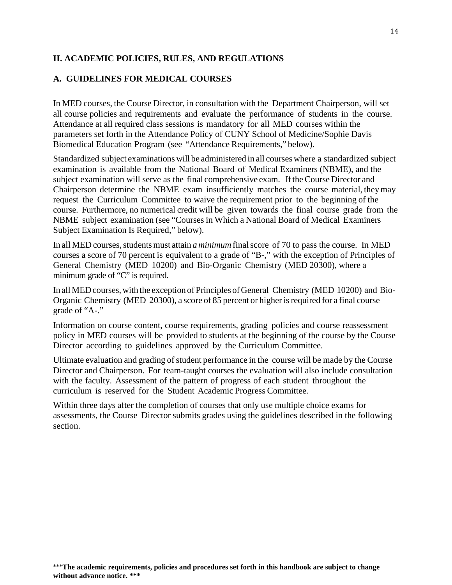## **II. ACADEMIC POLICIES, RULES, AND REGULATIONS**

## <span id="page-15-0"></span>**A. GUIDELINES FOR MEDICAL COURSES**

In MED courses, the Course Director, in consultation with the Department Chairperson, will set all course policies and requirements and evaluate the performance of students in the course. Attendance at all required class sessions is mandatory for all MED courses within the parameters set forth in the Attendance Policy of CUNY School of Medicine/Sophie Davis Biomedical Education Program (see "Attendance Requirements," below).

Standardized subject examinations will be administered in all courses where a standardized subject examination is available from the National Board of Medical Examiners (NBME), and the subject examination will serve as the final comprehensive exam. If the Course Director and Chairperson determine the NBME exam insufficiently matches the course material, theymay request the Curriculum Committee to waive the requirement prior to the beginning of the course. Furthermore, no numerical credit will be given towards the final course grade from the NBME subject examination (see "Courses in Which a National Board of Medical Examiners Subject Examination Is Required," below).

In all MED courses, students must attain *a minimum* final score of 70 to pass the course. In MED courses a score of 70 percent is equivalent to a grade of "B-," with the exception of Principles of General Chemistry (MED 10200) and Bio-Organic Chemistry (MED 20300), where a minimum grade of "C" is required.

In all MED courses, with the exception of Principles of General Chemistry (MED 10200) and Bio-Organic Chemistry (MED 20300), a score of 85 percent or higher is required for a final course grade of "A-."

Information on course content, course requirements, grading policies and course reassessment policy in MED courses will be provided to students at the beginning of the course by the Course Director according to guidelines approved by the Curriculum Committee.

Ultimate evaluation and grading of student performance in the course will be made by the Course Director and Chairperson. For team-taught courses the evaluation will also include consultation with the faculty. Assessment of the pattern of progress of each student throughout the curriculum is reserved for the Student Academic Progress Committee.

Within three days after the completion of courses that only use multiple choice exams for assessments, the Course Director submits grades using the guidelines described in the following section.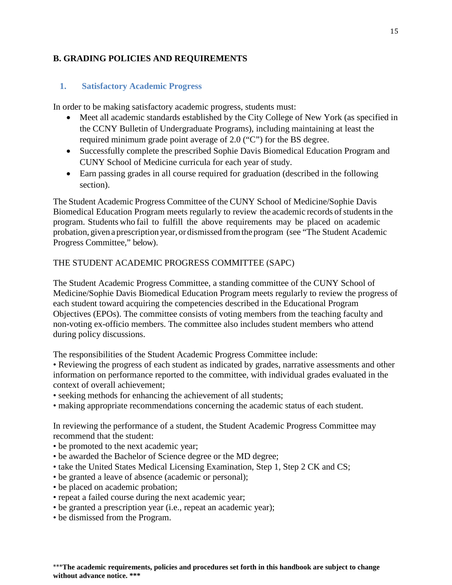## <span id="page-16-0"></span>**B. GRADING POLICIES AND REQUIREMENTS**

## <span id="page-16-1"></span>**1. Satisfactory Academic Progress**

In order to be making satisfactory academic progress, students must:

- Meet all academic standards established by the City College of New York (as specified in the CCNY Bulletin of Undergraduate Programs), including maintaining at least the required minimum grade point average of 2.0 ("C") for the BS degree.
- Successfully complete the prescribed Sophie Davis Biomedical Education Program and CUNY School of Medicine curricula for each year of study.
- Earn passing grades in all course required for graduation (described in the following section).

The Student Academic Progress Committee of the CUNY School of Medicine/Sophie Davis Biomedical Education Program meets regularly to review the academic records of students in the program. Students who fail to fulfill the above requirements may be placed on academic probation, given a prescription year, or dismissed fromthe program (see "The Student Academic Progress Committee," below).

## THE STUDENT ACADEMIC PROGRESS COMMITTEE (SAPC)

The Student Academic Progress Committee, a standing committee of the CUNY School of Medicine/Sophie Davis Biomedical Education Program meets regularly to review the progress of each student toward acquiring the competencies described in the Educational Program Objectives (EPOs). The committee consists of voting members from the teaching faculty and non-voting ex-officio members. The committee also includes student members who attend during policy discussions.

The responsibilities of the Student Academic Progress Committee include:

• Reviewing the progress of each student as indicated by grades, narrative assessments and other information on performance reported to the committee, with individual grades evaluated in the context of overall achievement;

- seeking methods for enhancing the achievement of all students;
- making appropriate recommendations concerning the academic status of each student.

In reviewing the performance of a student, the Student Academic Progress Committee may recommend that the student:

- be promoted to the next academic year;
- be awarded the Bachelor of Science degree or the MD degree;
- take the United States Medical Licensing Examination, Step 1, Step 2 CK and CS;
- be granted a leave of absence (academic or personal);
- be placed on academic probation;
- repeat a failed course during the next academic year;
- be granted a prescription year (i.e., repeat an academic year);
- be dismissed from the Program.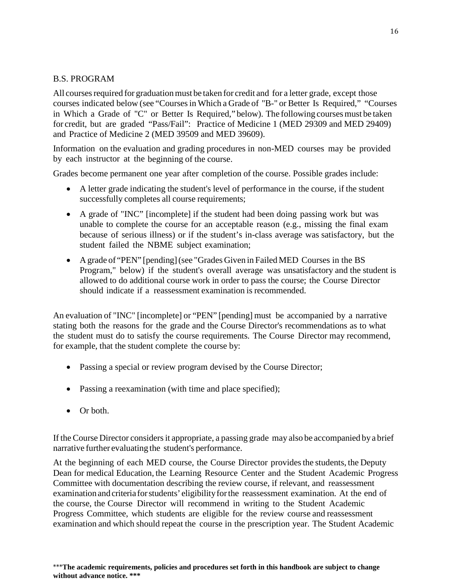#### B.S. PROGRAM

All courses required for graduation must be taken for credit and for a letter grade, except those courses indicated below (see "Coursesin Which a Grade of "B-" or Better Is Required," "Courses in Which a Grade of "C" or Better Is Required," below). The following coursesmust be taken for credit, but are graded "Pass/Fail": Practice of Medicine 1 (MED 29309 and MED 29409) and Practice of Medicine 2 (MED 39509 and MED 39609).

Information on the evaluation and grading procedures in non-MED courses may be provided by each instructor at the beginning of the course.

Grades become permanent one year after completion of the course. Possible grades include:

- A letter grade indicating the student's level of performance in the course, if the student successfully completes all course requirements;
- A grade of "INC" [incomplete] if the student had been doing passing work but was unable to complete the course for an acceptable reason (e.g., missing the final exam because of serious illness) or if the student's in-class average was satisfactory, but the student failed the NBME subject examination;
- A grade of "PEN" [pending] (see "Grades Given in Failed MED Courses in the BS Program," below) if the student's overall average was unsatisfactory and the student is allowed to do additional course work in order to pass the course; the Course Director should indicate if a reassessment examination is recommended.

An evaluation of "INC" [incomplete] or "PEN" [pending] must be accompanied by a narrative stating both the reasons for the grade and the Course Director's recommendations as to what the student must do to satisfy the course requirements. The Course Director may recommend, for example, that the student complete the course by:

- Passing a special or review program devised by the Course Director;
- Passing a reexamination (with time and place specified);
- Or both.

If the Course Director considers it appropriate, a passing grade may also be accompanied by a brief narrative further evaluating the student's performance.

At the beginning of each MED course, the Course Director provides the students, the Deputy Dean for medical Education, the Learning Resource Center and the Student Academic Progress Committee with documentation describing the review course, if relevant, and reassessment examination and criteria forstudents' eligibilityforthe reassessment examination. At the end of the course, the Course Director will recommend in writing to the Student Academic Progress Committee, which students are eligible for the review course and reassessment examination and which should repeat the course in the prescription year. The Student Academic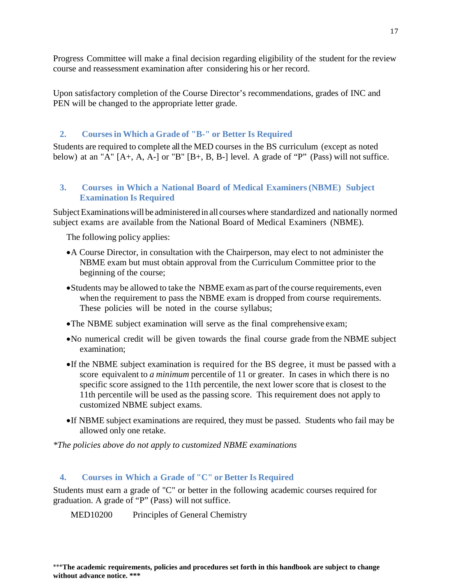Progress Committee will make a final decision regarding eligibility of the student for the review course and reassessment examination after considering his or her record.

Upon satisfactory completion of the Course Director's recommendations, grades of INC and PEN will be changed to the appropriate letter grade.

## <span id="page-18-0"></span>**2. Coursesin Which a Grade of "B-" or Better Is Required**

Students are required to complete all the MED courses in the BS curriculum (except as noted below) at an "A"  $[A+, A, A-]$  or "B"  $[B+, B, B-]$  level. A grade of "P" (Pass) will not suffice.

## <span id="page-18-1"></span>**3. Courses in Which a National Board of Medical Examiners(NBME) Subject Examination Is Required**

Subject Examinations will be administered in all courses where standardized and nationally normed subject exams are available from the National Board of Medical Examiners (NBME).

The following policy applies:

- •A Course Director, in consultation with the Chairperson, may elect to not administer the NBME exam but must obtain approval from the Curriculum Committee prior to the beginning of the course;
- Students may be allowed to take the NBME exam as part of the course requirements, even when the requirement to pass the NBME exam is dropped from course requirements. These policies will be noted in the course syllabus;
- •The NBME subject examination will serve as the final comprehensive exam;
- •No numerical credit will be given towards the final course grade from the NBME subject examination;
- •If the NBME subject examination is required for the BS degree, it must be passed with a score equivalent to *a minimum* percentile of 11 or greater. In cases in which there is no specific score assigned to the 11th percentile, the next lower score that is closest to the 11th percentile will be used as the passing score. This requirement does not apply to customized NBME subject exams.
- •If NBME subject examinations are required, they must be passed. Students who fail may be allowed only one retake.

*\*The policies above do not apply to customized NBME examinations* 

## <span id="page-18-2"></span>**4. Courses in Which a Grade of "C" or Better Is Required**

Students must earn a grade of "C" or better in the following academic courses required for graduation. A grade of "P" (Pass) will not suffice.

MED10200 Principles of General Chemistry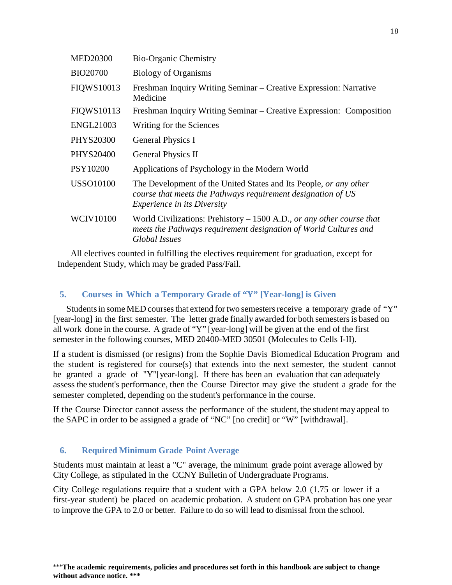| <b>MED20300</b>  | <b>Bio-Organic Chemistry</b>                                                                                                                                            |
|------------------|-------------------------------------------------------------------------------------------------------------------------------------------------------------------------|
| <b>BIO20700</b>  | <b>Biology of Organisms</b>                                                                                                                                             |
| FIQWS10013       | Freshman Inquiry Writing Seminar – Creative Expression: Narrative<br>Medicine                                                                                           |
| FIQWS10113       | Freshman Inquiry Writing Seminar – Creative Expression: Composition                                                                                                     |
| <b>ENGL21003</b> | Writing for the Sciences                                                                                                                                                |
| PHYS20300        | <b>General Physics I</b>                                                                                                                                                |
| PHYS20400        | <b>General Physics II</b>                                                                                                                                               |
| PSY10200         | Applications of Psychology in the Modern World                                                                                                                          |
| <b>USSO10100</b> | The Development of the United States and Its People, or any other<br>course that meets the Pathways requirement designation of US<br><i>Experience in its Diversity</i> |
| <b>WCIV10100</b> | World Civilizations: Prehistory $-1500$ A.D., or any other course that<br>meets the Pathways requirement designation of World Cultures and<br>Global Issues             |
|                  |                                                                                                                                                                         |

All electives counted in fulfilling the electives requirement for graduation, except for Independent Study, which may be graded Pass/Fail.

## <span id="page-19-0"></span>**5. Courses in Which a Temporary Grade of "Y" [Year-long] is Given**

Students in some MED courses that extend for two semesters receive a temporary grade of "Y" [year-long] in the first semester. The letter grade finally awarded for both semesters is based on all work done in the course. A grade of "Y" [year-long] will be given at the end of the first semester in the following courses, MED 20400-MED 30501 (Molecules to Cells I-II).

If a student is dismissed (or resigns) from the Sophie Davis Biomedical Education Program and the student is registered for course(s) that extends into the next semester, the student cannot be granted a grade of "Y"[year-long]. If there has been an evaluation that can adequately assess the student's performance, then the Course Director may give the student a grade for the semester completed, depending on the student's performance in the course.

If the Course Director cannot assess the performance of the student, the student may appeal to the SAPC in order to be assigned a grade of "NC" [no credit] or "W" [withdrawal].

## <span id="page-19-1"></span>**6. Required Minimum Grade Point Average**

Students must maintain at least a "C" average, the minimum grade point average allowed by City College, as stipulated in the CCNY Bulletin of Undergraduate Programs.

City College regulations require that a student with a GPA below 2.0 (1.75 or lower if a first-year student) be placed on academic probation. A student on GPA probation has one year to improve the GPA to 2.0 or better. Failure to do so will lead to dismissal from the school.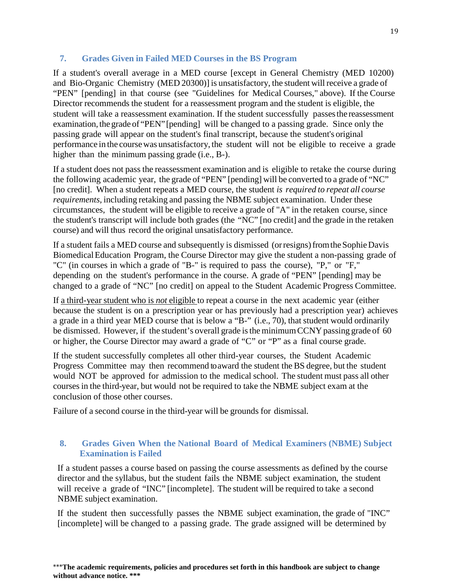## <span id="page-20-0"></span>**7. Grades Given in Failed MED Courses in the BS Program**

If a student's overall average in a MED course [except in General Chemistry (MED 10200) and Bio-Organic Chemistry (MED 20300)] is unsatisfactory, the student will receive a grade of "PEN" [pending] in that course (see "Guidelines for Medical Courses," above). If the Course Director recommends the student for a reassessment program and the student is eligible, the student will take a reassessment examination. If the student successfully passesthe reassessment examination, the grade of "PEN" [pending] will be changed to a passing grade. Since only the passing grade will appear on the student's final transcript, because the student's original performance in the coursewas unsatisfactory, the student will not be eligible to receive a grade higher than the minimum passing grade (i.e., B-).

If a student does not pass the reassessment examination and is eligible to retake the course during the following academic year, the grade of "PEN" [pending] will be converted to a grade of "NC" [no credit]. When a student repeats a MED course, the student *is required to repeat all course requirements,* including retaking and passing the NBME subject examination. Under these circumstances, the student will be eligible to receive a grade of "A" in the retaken course, since the student's transcript will include both grades (the "NC" [no credit] and the grade in the retaken course) and will thus record the original unsatisfactory performance.

If a student fails a MED course and subsequently is dismissed (orresigns)fromtheSophieDavis Biomedical Education Program, the Course Director may give the student a non-passing grade of "C" (in courses in which a grade of "B-" is required to pass the course), "P," or "F," depending on the student's performance in the course. A grade of "PEN" [pending] may be changed to a grade of "NC" [no credit] on appeal to the Student Academic Progress Committee.

If a third-year student who is *not* eligible to repeat a course in the next academic year (either because the student is on a prescription year or has previously had a prescription year) achieves a grade in a third year MED course that is below a "B-" (i.e., 70), that student would ordinarily be dismissed. However, if the student's overall grade is the minimum CCNY passing grade of 60 or higher, the Course Director may award a grade of "C" or "P" as a final course grade.

If the student successfully completes all other third-year courses, the Student Academic Progress Committee may then recommend to award the student the BS degree, but the student would NOT be approved for admission to the medical school. The student must pass all other coursesin the third-year, but would not be required to take the NBME subject exam at the conclusion of those other courses.

Failure of a second course in the third-year will be grounds for dismissal.

## <span id="page-20-1"></span>**8. Grades Given When the National Board of Medical Examiners (NBME) Subject Examination is Failed**

If a student passes a course based on passing the course assessments as defined by the course director and the syllabus, but the student fails the NBME subject examination, the student will receive a grade of "INC" [incomplete]. The student will be required to take a second NBME subject examination.

If the student then successfully passes the NBME subject examination, the grade of "INC" [incomplete] will be changed to a passing grade. The grade assigned will be determined by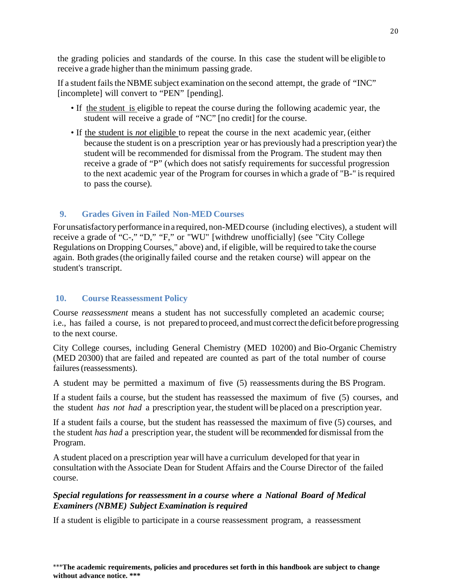the grading policies and standards of the course. In this case the student will be eligible to receive a grade higher than the minimum passing grade.

If a student fails the NBME subject examination on the second attempt, the grade of "INC" [incomplete] will convert to "PEN" [pending].

- If the student is eligible to repeat the course during the following academic year, the student will receive a grade of "NC" [no credit] for the course.
- If the student is *not* eligible to repeat the course in the next academic year, (either because the student is on a prescription year or has previously had a prescription year) the student will be recommended for dismissal from the Program. The student may then receive a grade of "P" (which does not satisfy requirements for successful progression to the next academic year of the Program for courses in which a grade of "B-" is required to pass the course).

## <span id="page-21-0"></span>**9. Grades Given in Failed Non-MED Courses**

For unsatisfactory performance in a required, non-MED course (including electives), a student will receive a grade of "C-," "D," "F," or "WU" [withdrew unofficially] (see "City College Regulations on Dropping Courses," above) and, if eligible, will be required to take the course again. Both grades(the originally failed course and the retaken course) will appear on the student's transcript.

## <span id="page-21-1"></span>**10. Course Reassessment Policy**

Course *reassessment* means a student has not successfully completed an academic course; i.e., has failed a course, is not prepared to proceed, and must correct the deficit before progressing to the next course.

City College courses, including General Chemistry (MED 10200) and Bio-Organic Chemistry (MED 20300) that are failed and repeated are counted as part of the total number of course failures(reassessments).

A student may be permitted a maximum of five (5) reassessments during the BS Program.

If a student fails a course, but the student has reassessed the maximum of five (5) courses, and the student *has not had* a prescription year, the student will be placed on a prescription year.

If a student fails a course, but the student has reassessed the maximum of five (5) courses, and the student *has had* a prescription year, the student will be recommended for dismissal from the Program.

A student placed on a prescription year will have a curriculum developed for that year in consultation with the Associate Dean for Student Affairs and the Course Director of the failed course.

## *Special regulations for reassessment in a course where a National Board of Medical Examiners (NBME) Subject Examination is required*

If a student is eligible to participate in a course reassessment program, a reassessment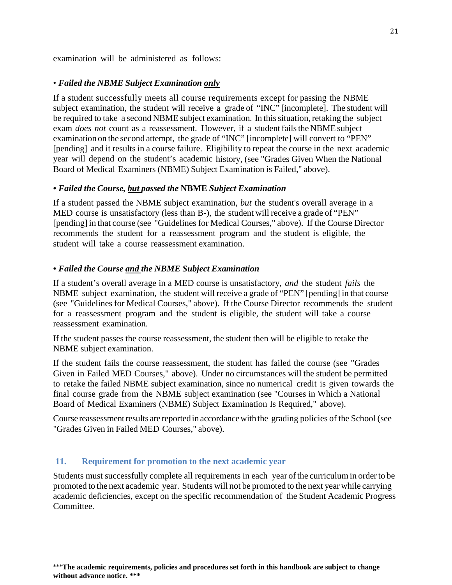examination will be administered as follows:

#### • *Failed the NBME Subject Examination only*

If a student successfully meets all course requirements except for passing the NBME subject examination, the student will receive a grade of "INC" [incomplete]. The student will be required to take a second NBME subject examination. In this situation, retaking the subject exam *does not* count as a reassessment. However, if a student fails the NBME subject examination on the second attempt, the grade of "INC" [incomplete] will convert to "PEN" [pending] and it results in a course failure. Eligibility to repeat the course in the next academic year will depend on the student's academic history, (see "Grades Given When the National Board of Medical Examiners (NBME) Subject Examination is Failed," above).

#### *• Failed the Course, but passed the* **NBME** *Subject Examination*

If a student passed the NBME subject examination, *but* the student's overall average in a MED course is unsatisfactory (less than B-), the student will receive a grade of "PEN" [pending] in that course (see "Guidelines for Medical Courses," above). If the Course Director recommends the student for a reassessment program and the student is eligible, the student will take a course reassessment examination.

## *• Failed the Course and the NBME Subject Examination*

If a student's overall average in a MED course is unsatisfactory, *and* the student *fails* the NBME subject examination, the student will receive a grade of "PEN" [pending] in that course (see "Guidelines for Medical Courses," above). If the Course Director recommends the student for a reassessment program and the student is eligible, the student will take a course reassessment examination.

If the student passes the course reassessment, the student then will be eligible to retake the NBME subject examination.

If the student fails the course reassessment, the student has failed the course (see "Grades Given in Failed MED Courses," above). Under no circumstances will the student be permitted to retake the failed NBME subject examination, since no numerical credit is given towards the final course grade from the NBME subject examination (see "Courses in Which a National Board of Medical Examiners (NBME) Subject Examination Is Required," above).

Course reassessment results are reported in accordance with the grading policies of the School (see "Grades Given in Failed MED Courses," above).

#### <span id="page-22-0"></span>**11. Requirement for promotion to the next academic year**

Students must successfully complete all requirements in each year ofthe curriculumin orderto be promoted to the next academic year. Students will not be promoted to the next year while carrying academic deficiencies, except on the specific recommendation of the Student Academic Progress Committee.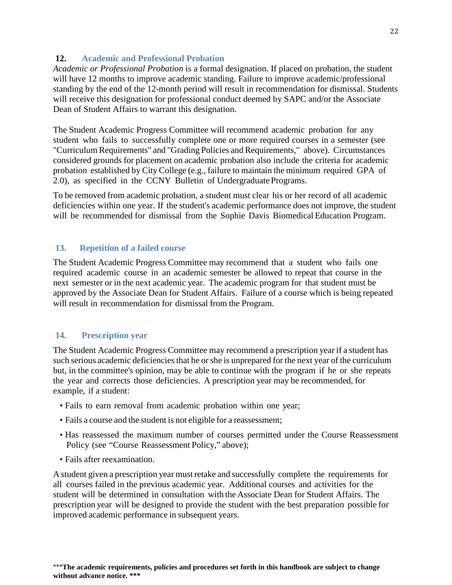#### <span id="page-23-0"></span>**12. Academic and Professional Probation**

*Academic or Professional Probation* is a formal designation. If placed on probation, the student will have 12 months to improve academic standing. Failure to improve academic/professional standing by the end of the 12-month period will result in recommendation for dismissal. Students will receive this designation for professional conduct deemed by SAPC and/or the Associate Dean of Student Affairs to warrant this designation.

The Student Academic Progress Committee will recommend academic probation for any student who fails to successfully complete one or more required courses in a semester (see "Curriculum Requirements" and "Grading Policies and Requirements," above). Circumstances considered grounds for placement on academic probation also include the criteria for academic probation established by City College (e.g., failure to maintain the minimum required GPA of 2.0), as specified in the CCNY Bulletin of Undergraduate Programs.

To be removed from academic probation, a student must clear his or her record of all academic deficiencies within one year. If the student's academic performance does not improve, the student will be recommended for dismissal from the Sophie Davis Biomedical Education Program.

## <span id="page-23-1"></span>**13. Repetition of a failed course**

The Student Academic Progress Committee may recommend that a student who fails one required academic course in an academic semester be allowed to repeat that course in the next semester or in the next academic year. The academic program for that student must be approved by the Associate Dean for Student Affairs. Failure of a course which is being repeated will result in recommendation for dismissal from the Program.

## <span id="page-23-2"></span>**14. Prescription year**

The Student Academic Progress Committee may recommend a prescription year if a student has such serious academic deficiencies that he or she is unprepared for the next year of the curriculum but, in the committee's opinion, may be able to continue with the program if he or she repeats the year and corrects those deficiencies. A prescription year may be recommended, for example, if a student:

- Fails to earn removal from academic probation within one year;
- Fails a course and the student is not eligible for a reassessment;
- Has reassessed the maximum number of courses permitted under the Course Reassessment Policy (see "Course Reassessment Policy," above);
- Fails after reexamination.

A student given a prescription year must retake and successfully complete the requirements for all courses failed in the previous academic year. Additional courses and activities for the student will be determined in consultation with the Associate Dean for Student Affairs. The prescription year will be designed to provide the student with the best preparation possible for improved academic performance in subsequent years.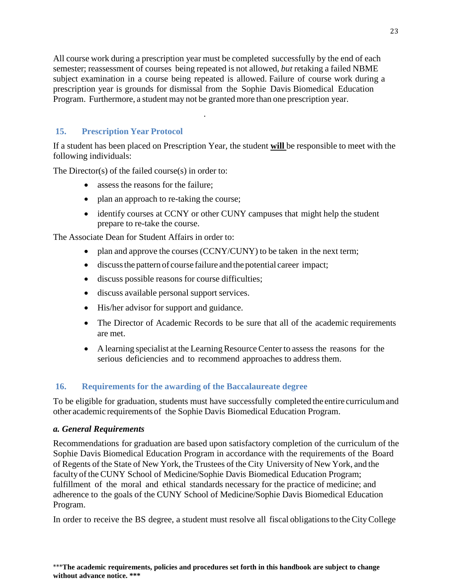All course work during a prescription year must be completed successfully by the end of each semester; reassessment of courses being repeated is not allowed, *but* retaking a failed NBME subject examination in a course being repeated is allowed. Failure of course work during a prescription year is grounds for dismissal from the Sophie Davis Biomedical Education Program. Furthermore, a student may not be granted more than one prescription year.

.

## <span id="page-24-0"></span>**15. Prescription Year Protocol**

If a student has been placed on Prescription Year, the student **will** be responsible to meet with the following individuals:

The Director(s) of the failed course(s) in order to:

- assess the reasons for the failure:
- plan an approach to re-taking the course;
- identify courses at CCNY or other CUNY campuses that might help the student prepare to re-take the course.

The Associate Dean for Student Affairs in order to:

- plan and approve the courses (CCNY/CUNY) to be taken in the next term;
- discussthe pattern of course failure and the potential career impact;
- discuss possible reasons for course difficulties;
- discuss available personal support services.
- His/her advisor for support and guidance.
- The Director of Academic Records to be sure that all of the academic requirements are met.
- A learning specialist at the Learning Resource Center to assess the reasons for the serious deficiencies and to recommend approaches to address them.

## <span id="page-24-1"></span>**16. Requirements for the awarding of the Baccalaureate degree**

To be eligible for graduation, students must have successfully completed the entire curriculumand other academic requirements of the Sophie Davis Biomedical Education Program.

#### *a. General Requirements*

Recommendations for graduation are based upon satisfactory completion of the curriculum of the Sophie Davis Biomedical Education Program in accordance with the requirements of the Board of Regents of the State of New York, the Trustees of the City University of New York, and the faculty of the CUNY School of Medicine/Sophie Davis Biomedical Education Program; fulfillment of the moral and ethical standards necessary for the practice of medicine; and adherence to the goals of the CUNY School of Medicine/Sophie Davis Biomedical Education Program.

In order to receive the BS degree, a student must resolve all fiscal obligationsto theCityCollege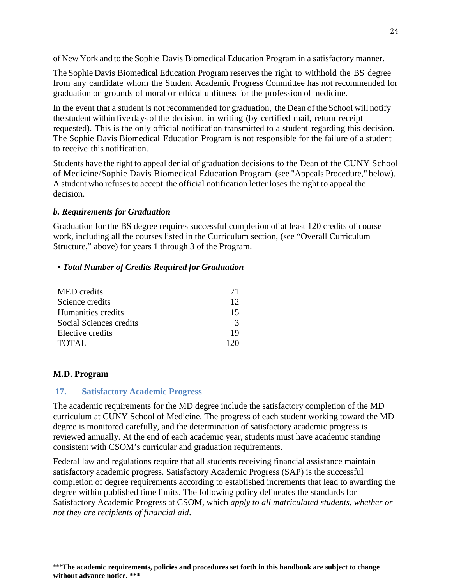of New York and to the Sophie Davis Biomedical Education Program in a satisfactory manner.

The Sophie Davis Biomedical Education Program reserves the right to withhold the BS degree from any candidate whom the Student Academic Progress Committee has not recommended for graduation on grounds of moral or ethical unfitness for the profession of medicine.

In the event that a student is not recommended for graduation, the Dean of the School will notify the student within five days of the decision, in writing (by certified mail, return receipt requested). This is the only official notification transmitted to a student regarding this decision. The Sophie Davis Biomedical Education Program is not responsible for the failure of a student to receive this notification.

Students have the right to appeal denial of graduation decisions to the Dean of the CUNY School of Medicine/Sophie Davis Biomedical Education Program (see "Appeals Procedure," below). A student who refuses to accept the official notification letter loses the right to appeal the decision.

## *b. Requirements for Graduation*

Graduation for the BS degree requires successful completion of at least 120 credits of course work, including all the courses listed in the Curriculum section, (see "Overall Curriculum Structure," above) for years 1 through 3 of the Program.

#### *• Total Number of Credits Required for Graduation*

| MED credits             | 71            |
|-------------------------|---------------|
| Science credits         | 12            |
| Humanities credits      | 15            |
| Social Sciences credits | $\mathcal{R}$ |
| Elective credits        | 19            |
| TOTAL                   |               |

#### <span id="page-25-0"></span>**M.D. Program**

#### <span id="page-25-1"></span>**17. Satisfactory Academic Progress**

The academic requirements for the MD degree include the satisfactory completion of the MD curriculum at CUNY School of Medicine. The progress of each student working toward the MD degree is monitored carefully, and the determination of satisfactory academic progress is reviewed annually. At the end of each academic year, students must have academic standing consistent with CSOM's curricular and graduation requirements.

Federal law and regulations require that all students receiving financial assistance maintain satisfactory academic progress. Satisfactory Academic Progress (SAP) is the successful completion of degree requirements according to established increments that lead to awarding the degree within published time limits. The following policy delineates the standards for Satisfactory Academic Progress at CSOM, which *apply to all matriculated students, whether or not they are recipients of financial aid*.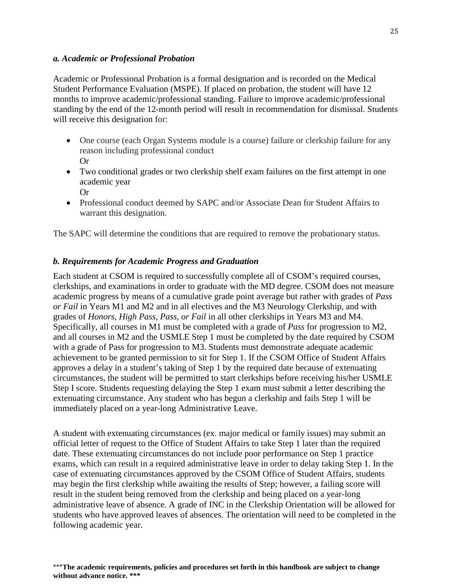#### *a. Academic or Professional Probation*

Academic or Professional Probation is a formal designation and is recorded on the Medical Student Performance Evaluation (MSPE). If placed on probation, the student will have 12 months to improve academic/professional standing. Failure to improve academic/professional standing by the end of the 12-month period will result in recommendation for dismissal. Students will receive this designation for:

- One course (each Organ Systems module is a course) failure or clerkship failure for any reason including professional conduct Or
- Two conditional grades or two clerkship shelf exam failures on the first attempt in one academic year Or
- Professional conduct deemed by SAPC and/or Associate Dean for Student Affairs to warrant this designation.

The SAPC will determine the conditions that are required to remove the probationary status.

## *b. Requirements for Academic Progress and Graduation*

Each student at CSOM is required to successfully complete all of CSOM's required courses, clerkships, and examinations in order to graduate with the MD degree. CSOM does not measure academic progress by means of a cumulative grade point average but rather with grades of *Pass or Fail* in Years M1 and M2 and in all electives and the M3 Neurology Clerkship, and with grades of *Honors, High Pass, Pass, or Fail* in all other clerkships in Years M3 and M4. Specifically, all courses in M1 must be completed with a grade of *Pass* for progression to M2, and all courses in M2 and the USMLE Step 1 must be completed by the date required by CSOM with a grade of Pass for progression to M3. Students must demonstrate adequate academic achievement to be granted permission to sit for Step 1. If the CSOM Office of Student Affairs approves a delay in a student's taking of Step 1 by the required date because of extenuating circumstances, the student will be permitted to start clerkships before receiving his/her USMLE Step I score. Students requesting delaying the Step 1 exam must submit a letter describing the extenuating circumstance. Any student who has begun a clerkship and fails Step 1 will be immediately placed on a year-long Administrative Leave.

A student with extenuating circumstances (ex. major medical or family issues) may submit an official letter of request to the Office of Student Affairs to take Step 1 later than the required date. These extenuating circumstances do not include poor performance on Step 1 practice exams, which can result in a required administrative leave in order to delay taking Step 1. In the case of extenuating circumstances approved by the CSOM Office of Student Affairs, students may begin the first clerkship while awaiting the results of Step; however, a failing score will result in the student being removed from the clerkship and being placed on a year-long administrative leave of absence. A grade of INC in the Clerkship Orientation will be allowed for students who have approved leaves of absences. The orientation will need to be completed in the following academic year.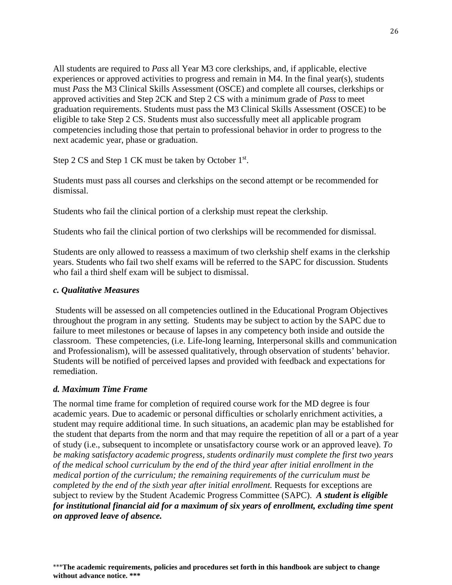All students are required to *Pass* all Year M3 core clerkships, and, if applicable, elective experiences or approved activities to progress and remain in M4. In the final year(s), students must *Pass* the M3 Clinical Skills Assessment (OSCE) and complete all courses, clerkships or approved activities and Step 2CK and Step 2 CS with a minimum grade of *Pass* to meet graduation requirements. Students must pass the M3 Clinical Skills Assessment (OSCE) to be eligible to take Step 2 CS. Students must also successfully meet all applicable program competencies including those that pertain to professional behavior in order to progress to the next academic year, phase or graduation.

Step 2 CS and Step 1 CK must be taken by October 1<sup>st</sup>.

Students must pass all courses and clerkships on the second attempt or be recommended for dismissal.

Students who fail the clinical portion of a clerkship must repeat the clerkship.

Students who fail the clinical portion of two clerkships will be recommended for dismissal.

Students are only allowed to reassess a maximum of two clerkship shelf exams in the clerkship years. Students who fail two shelf exams will be referred to the SAPC for discussion. Students who fail a third shelf exam will be subject to dismissal.

#### *c. Qualitative Measures*

Students will be assessed on all competencies outlined in the Educational Program Objectives throughout the program in any setting. Students may be subject to action by the SAPC due to failure to meet milestones or because of lapses in any competency both inside and outside the classroom. These competencies, (i.e. Life-long learning, Interpersonal skills and communication and Professionalism), will be assessed qualitatively, through observation of students' behavior. Students will be notified of perceived lapses and provided with feedback and expectations for remediation.

#### *d. Maximum Time Frame*

The normal time frame for completion of required course work for the MD degree is four academic years. Due to academic or personal difficulties or scholarly enrichment activities, a student may require additional time. In such situations, an academic plan may be established for the student that departs from the norm and that may require the repetition of all or a part of a year of study (i.e., subsequent to incomplete or unsatisfactory course work or an approved leave). *To be making satisfactory academic progress, students ordinarily must complete the first two years of the medical school curriculum by the end of the third year after initial enrollment in the medical portion of the curriculum; the remaining requirements of the curriculum must be completed by the end of the sixth year after initial enrollment.* Requests for exceptions are subject to review by the Student Academic Progress Committee (SAPC). *A student is eligible for institutional financial aid for a maximum of six years of enrollment, excluding time spent on approved leave of absence.*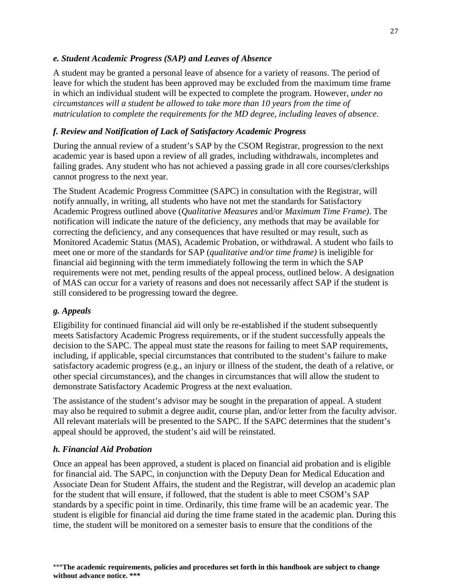#### *e. Student Academic Progress (SAP) and Leaves of Absence*

A student may be granted a personal leave of absence for a variety of reasons. The period of leave for which the student has been approved may be excluded from the maximum time frame in which an individual student will be expected to complete the program. However, *under no circumstances will a student be allowed to take more than 10 years from the time of matriculation to complete the requirements for the MD degree, including leaves of absence*.

## *f. Review and Notification of Lack of Satisfactory Academic Progress*

During the annual review of a student's SAP by the CSOM Registrar, progression to the next academic year is based upon a review of all grades, including withdrawals, incompletes and failing grades. Any student who has not achieved a passing grade in all core courses/clerkships cannot progress to the next year.

The Student Academic Progress Committee (SAPC) in consultation with the Registrar, will notify annually, in writing, all students who have not met the standards for Satisfactory Academic Progress outlined above (*Qualitative Measures* and/or *Maximum Time Frame)*. The notification will indicate the nature of the deficiency, any methods that may be available for correcting the deficiency, and any consequences that have resulted or may result, such as Monitored Academic Status (MAS), Academic Probation, or withdrawal. A student who fails to meet one or more of the standards for SAP (*qualitative and/or time frame)* is ineligible for financial aid beginning with the term immediately following the term in which the SAP requirements were not met, pending results of the appeal process, outlined below. A designation of MAS can occur for a variety of reasons and does not necessarily affect SAP if the student is still considered to be progressing toward the degree.

#### *g. Appeals*

Eligibility for continued financial aid will only be re-established if the student subsequently meets Satisfactory Academic Progress requirements, or if the student successfully appeals the decision to the SAPC. The appeal must state the reasons for failing to meet SAP requirements, including, if applicable, special circumstances that contributed to the student's failure to make satisfactory academic progress (e.g., an injury or illness of the student, the death of a relative, or other special circumstances), and the changes in circumstances that will allow the student to demonstrate Satisfactory Academic Progress at the next evaluation.

The assistance of the student's advisor may be sought in the preparation of appeal. A student may also be required to submit a degree audit, course plan, and/or letter from the faculty advisor. All relevant materials will be presented to the SAPC. If the SAPC determines that the student's appeal should be approved, the student's aid will be reinstated.

#### *h. Financial Aid Probation*

Once an appeal has been approved, a student is placed on financial aid probation and is eligible for financial aid. The SAPC, in conjunction with the Deputy Dean for Medical Education and Associate Dean for Student Affairs, the student and the Registrar, will develop an academic plan for the student that will ensure, if followed, that the student is able to meet CSOM's SAP standards by a specific point in time. Ordinarily, this time frame will be an academic year. The student is eligible for financial aid during the time frame stated in the academic plan. During this time, the student will be monitored on a semester basis to ensure that the conditions of the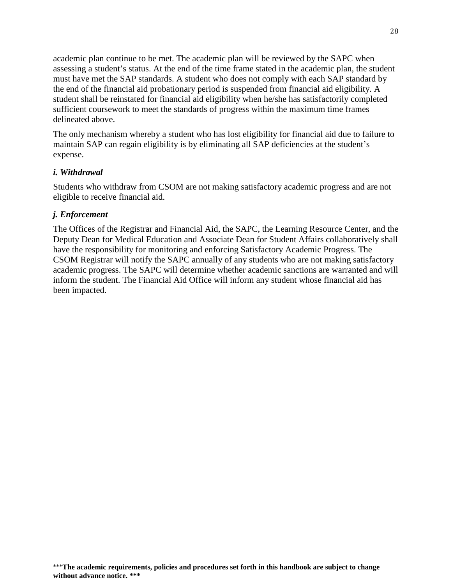academic plan continue to be met. The academic plan will be reviewed by the SAPC when assessing a student's status. At the end of the time frame stated in the academic plan, the student must have met the SAP standards. A student who does not comply with each SAP standard by the end of the financial aid probationary period is suspended from financial aid eligibility. A student shall be reinstated for financial aid eligibility when he/she has satisfactorily completed sufficient coursework to meet the standards of progress within the maximum time frames delineated above.

The only mechanism whereby a student who has lost eligibility for financial aid due to failure to maintain SAP can regain eligibility is by eliminating all SAP deficiencies at the student's expense.

#### *i. Withdrawal*

Students who withdraw from CSOM are not making satisfactory academic progress and are not eligible to receive financial aid.

#### *j. Enforcement*

The Offices of the Registrar and Financial Aid, the SAPC, the Learning Resource Center, and the Deputy Dean for Medical Education and Associate Dean for Student Affairs collaboratively shall have the responsibility for monitoring and enforcing Satisfactory Academic Progress. The CSOM Registrar will notify the SAPC annually of any students who are not making satisfactory academic progress. The SAPC will determine whether academic sanctions are warranted and will inform the student. The Financial Aid Office will inform any student whose financial aid has been impacted.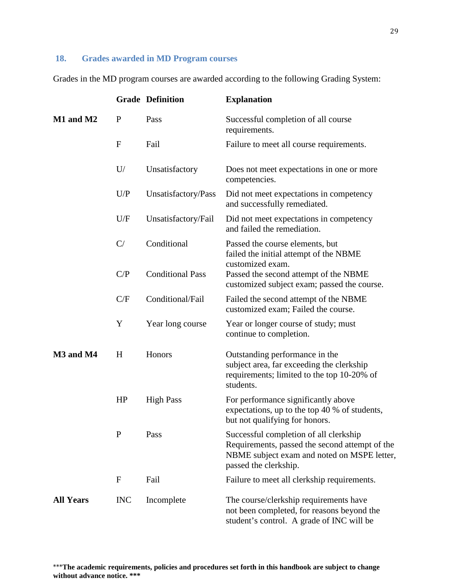## <span id="page-30-0"></span>**18. Grades awarded in MD Program courses**

Grades in the MD program courses are awarded according to the following Grading System:

|                  |              | <b>Grade Definition</b> | <b>Explanation</b>                                                                                                                                               |
|------------------|--------------|-------------------------|------------------------------------------------------------------------------------------------------------------------------------------------------------------|
| M1 and M2        | $\mathbf{P}$ | Pass                    | Successful completion of all course<br>requirements.                                                                                                             |
|                  | $\mathbf{F}$ | Fail                    | Failure to meet all course requirements.                                                                                                                         |
|                  | U/           | Unsatisfactory          | Does not meet expectations in one or more<br>competencies.                                                                                                       |
|                  | U/P          | Unsatisfactory/Pass     | Did not meet expectations in competency<br>and successfully remediated.                                                                                          |
|                  | U/F          | Unsatisfactory/Fail     | Did not meet expectations in competency<br>and failed the remediation.                                                                                           |
|                  | C/           | Conditional             | Passed the course elements, but<br>failed the initial attempt of the NBME<br>customized exam.                                                                    |
|                  | C/P          | <b>Conditional Pass</b> | Passed the second attempt of the NBME<br>customized subject exam; passed the course.                                                                             |
|                  | C/F          | Conditional/Fail        | Failed the second attempt of the NBME<br>customized exam; Failed the course.                                                                                     |
|                  | Y            | Year long course        | Year or longer course of study; must<br>continue to completion.                                                                                                  |
| M3 and M4        | H            | Honors                  | Outstanding performance in the<br>subject area, far exceeding the clerkship<br>requirements; limited to the top 10-20% of<br>students.                           |
|                  | HP           | <b>High Pass</b>        | For performance significantly above<br>expectations, up to the top 40 % of students,<br>but not qualifying for honors.                                           |
|                  | P            | Pass                    | Successful completion of all clerkship<br>Requirements, passed the second attempt of the<br>NBME subject exam and noted on MSPE letter,<br>passed the clerkship. |
|                  | $\mathbf{F}$ | Fail                    | Failure to meet all clerkship requirements.                                                                                                                      |
| <b>All Years</b> | <b>INC</b>   | Incomplete              | The course/clerkship requirements have<br>not been completed, for reasons beyond the<br>student's control. A grade of INC will be                                |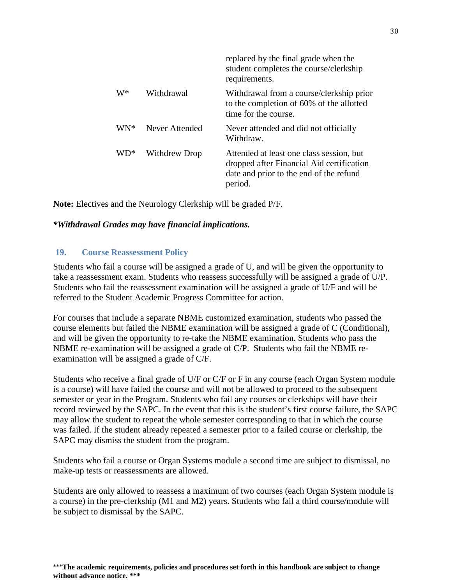|       |                | replaced by the final grade when the<br>student completes the course/clerkship<br>requirements.                                             |
|-------|----------------|---------------------------------------------------------------------------------------------------------------------------------------------|
| W*    | Withdrawal     | Withdrawal from a course/clerkship prior<br>to the completion of 60% of the allotted<br>time for the course.                                |
| $WN*$ | Never Attended | Never attended and did not officially<br>Withdraw.                                                                                          |
| $WD*$ | Withdrew Drop  | Attended at least one class session, but<br>dropped after Financial Aid certification<br>date and prior to the end of the refund<br>period. |

**Note:** Electives and the Neurology Clerkship will be graded P/F.

#### *\*Withdrawal Grades may have financial implications.*

#### <span id="page-31-0"></span>**19. Course Reassessment Policy**

Students who fail a course will be assigned a grade of U, and will be given the opportunity to take a reassessment exam. Students who reassess successfully will be assigned a grade of U/P. Students who fail the reassessment examination will be assigned a grade of U/F and will be referred to the Student Academic Progress Committee for action.

For courses that include a separate NBME customized examination, students who passed the course elements but failed the NBME examination will be assigned a grade of C (Conditional), and will be given the opportunity to re-take the NBME examination. Students who pass the NBME re-examination will be assigned a grade of C/P. Students who fail the NBME reexamination will be assigned a grade of C/F.

Students who receive a final grade of U/F or C/F or F in any course (each Organ System module is a course) will have failed the course and will not be allowed to proceed to the subsequent semester or year in the Program. Students who fail any courses or clerkships will have their record reviewed by the SAPC. In the event that this is the student's first course failure, the SAPC may allow the student to repeat the whole semester corresponding to that in which the course was failed. If the student already repeated a semester prior to a failed course or clerkship, the SAPC may dismiss the student from the program.

Students who fail a course or Organ Systems module a second time are subject to dismissal, no make-up tests or reassessments are allowed.

Students are only allowed to reassess a maximum of two courses (each Organ System module is a course) in the pre-clerkship (M1 and M2) years. Students who fail a third course/module will be subject to dismissal by the SAPC.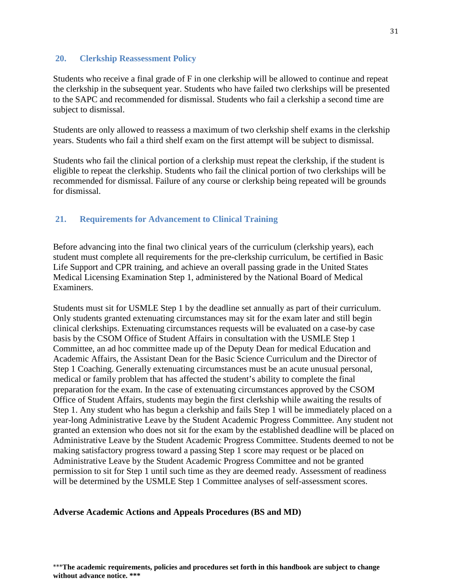#### **20. Clerkship Reassessment Policy**

Students who receive a final grade of F in one clerkship will be allowed to continue and repeat the clerkship in the subsequent year. Students who have failed two clerkships will be presented to the SAPC and recommended for dismissal. Students who fail a clerkship a second time are subject to dismissal.

<span id="page-32-0"></span>Students are only allowed to reassess a maximum of two clerkship shelf exams in the clerkship years. Students who fail a third shelf exam on the first attempt will be subject to dismissal.

Students who fail the clinical portion of a clerkship must repeat the clerkship, if the student is eligible to repeat the clerkship. Students who fail the clinical portion of two clerkships will be recommended for dismissal. Failure of any course or clerkship being repeated will be grounds for dismissal.

## **21. Requirements for Advancement to Clinical Training**

Before advancing into the final two clinical years of the curriculum (clerkship years), each student must complete all requirements for the pre-clerkship curriculum, be certified in Basic Life Support and CPR training, and achieve an overall passing grade in the United States Medical Licensing Examination Step 1, administered by the National Board of Medical Examiners.

Students must sit for USMLE Step 1 by the deadline set annually as part of their curriculum. Only students granted extenuating circumstances may sit for the exam later and still begin clinical clerkships. Extenuating circumstances requests will be evaluated on a case-by case basis by the CSOM Office of Student Affairs in consultation with the USMLE Step 1 Committee, an ad hoc committee made up of the Deputy Dean for medical Education and Academic Affairs, the Assistant Dean for the Basic Science Curriculum and the Director of Step 1 Coaching. Generally extenuating circumstances must be an acute unusual personal, medical or family problem that has affected the student's ability to complete the final preparation for the exam. In the case of extenuating circumstances approved by the CSOM Office of Student Affairs, students may begin the first clerkship while awaiting the results of Step 1. Any student who has begun a clerkship and fails Step 1 will be immediately placed on a year-long Administrative Leave by the Student Academic Progress Committee. Any student not granted an extension who does not sit for the exam by the established deadline will be placed on Administrative Leave by the Student Academic Progress Committee. Students deemed to not be making satisfactory progress toward a passing Step 1 score may request or be placed on Administrative Leave by the Student Academic Progress Committee and not be granted permission to sit for Step 1 until such time as they are deemed ready. Assessment of readiness will be determined by the USMLE Step 1 Committee analyses of self-assessment scores.

#### <span id="page-32-1"></span>**Adverse Academic Actions and Appeals Procedures (BS and MD)**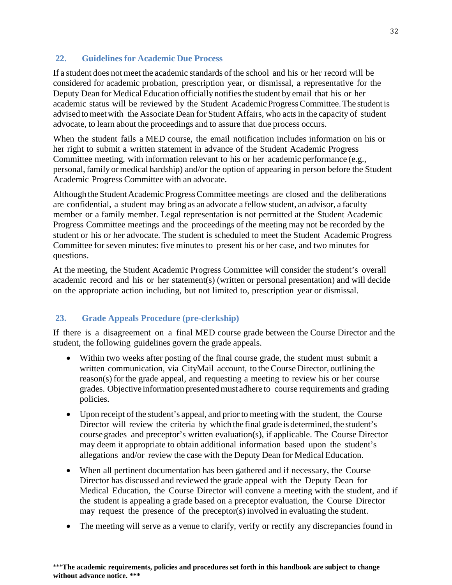#### <span id="page-33-0"></span>**22. Guidelines for Academic Due Process**

If a student does not meet the academic standards of the school and his or her record will be considered for academic probation, prescription year, or dismissal, a representative for the Deputy Dean for Medical Education officially notifies the student by email that his or her academic status will be reviewed by the Student Academic Progress Committee. The student is advised to meet with the Associate Dean for Student Affairs, who acts in the capacity of student advocate, to learn about the proceedings and to assure that due process occurs.

When the student fails a MED course, the email notification includes information on his or her right to submit a written statement in advance of the Student Academic Progress Committee meeting, with information relevant to his or her academic performance (e.g., personal, family or medical hardship) and/or the option of appearing in person before the Student Academic Progress Committee with an advocate.

Although the Student Academic Progress Committee meetings are closed and the deliberations are confidential, a student may bring as an advocate a fellow student, an advisor, a faculty member or a family member. Legal representation is not permitted at the Student Academic Progress Committee meetings and the proceedings of the meeting may not be recorded by the student or his or her advocate. The student is scheduled to meet the Student Academic Progress Committee for seven minutes: five minutes to present his or her case, and two minutes for questions.

At the meeting, the Student Academic Progress Committee will consider the student's overall academic record and his or her statement(s) (written or personal presentation) and will decide on the appropriate action including, but not limited to, prescription year or dismissal.

## <span id="page-33-1"></span>**23. Grade Appeals Procedure (pre-clerkship)**

If there is a disagreement on a final MED course grade between the Course Director and the student, the following guidelines govern the grade appeals.

- Within two weeks after posting of the final course grade, the student must submit a written communication, via CityMail account, to the Course Director, outlining the reason(s) for the grade appeal, and requesting a meeting to review his or her course grades. Objective information presentedmust adhere to course requirements and grading policies.
- Upon receipt of the student's appeal, and prior to meeting with the student, the Course Director will review the criteria by which the final grade is determined, the student's course grades and preceptor's written evaluation(s), if applicable. The Course Director may deem it appropriate to obtain additional information based upon the student's allegations and/or review the case with the Deputy Dean for Medical Education.
- When all pertinent documentation has been gathered and if necessary, the Course Director has discussed and reviewed the grade appeal with the Deputy Dean for Medical Education, the Course Director will convene a meeting with the student, and if the student is appealing a grade based on a preceptor evaluation, the Course Director may request the presence of the preceptor(s) involved in evaluating the student.
- The meeting will serve as a venue to clarify, verify or rectify any discrepancies found in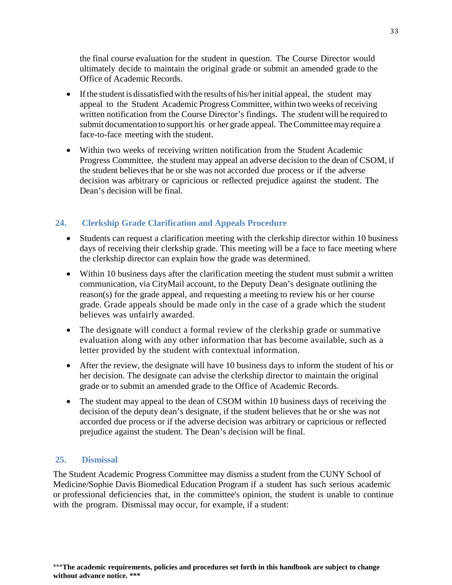the final course evaluation for the student in question. The Course Director would ultimately decide to maintain the original grade or submit an amended grade to the Office of Academic Records.

- If the student is dissatisfied with the results of his/her initial appeal, the student may appeal to the Student Academic ProgressCommittee, within two weeks ofreceiving written notification from the Course Director's findings. The student will be required to submit documentation to support his or her grade appeal. The Committee may require a face-to-face meeting with the student.
- Within two weeks of receiving written notification from the Student Academic Progress Committee, the student may appeal an adverse decision to the dean of CSOM, if the student believes that he or she was not accorded due process or if the adverse decision was arbitrary or capricious or reflected prejudice against the student. The Dean's decision will be final.

## <span id="page-34-0"></span>**24. Clerkship Grade Clarification and Appeals Procedure**

- Students can request a clarification meeting with the clerkship director within 10 business days of receiving their clerkship grade. This meeting will be a face to face meeting where the clerkship director can explain how the grade was determined.
- Within 10 business days after the clarification meeting the student must submit a written communication, via CityMail account, to the Deputy Dean's designate outlining the reason(s) for the grade appeal, and requesting a meeting to review his or her course grade. Grade appeals should be made only in the case of a grade which the student believes was unfairly awarded.
- The designate will conduct a formal review of the clerkship grade or summative evaluation along with any other information that has become available, such as a letter provided by the student with contextual information.
- After the review, the designate will have 10 business days to inform the student of his or her decision. The designate can advise the clerkship director to maintain the original grade or to submit an amended grade to the Office of Academic Records.
- The student may appeal to the dean of CSOM within 10 business days of receiving the decision of the deputy dean's designate, if the student believes that he or she was not accorded due process or if the adverse decision was arbitrary or capricious or reflected prejudice against the student. The Dean's decision will be final.

#### <span id="page-34-1"></span>**25. Dismissal**

The Student Academic Progress Committee may dismiss a student from the CUNY School of Medicine/Sophie Davis Biomedical Education Program if a student has such serious academic or professional deficiencies that, in the committee's opinion, the student is unable to continue with the program. Dismissal may occur, for example, if a student: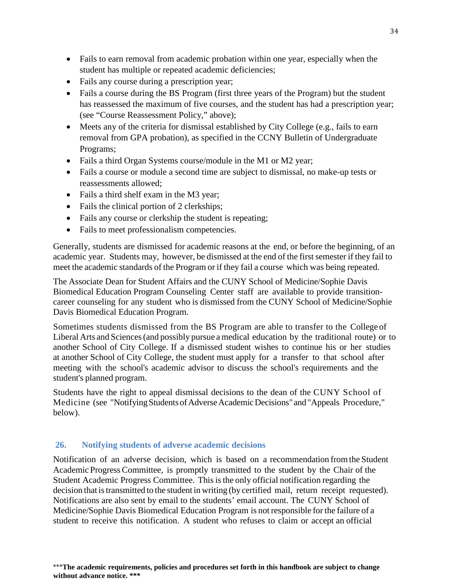- Fails to earn removal from academic probation within one year, especially when the student has multiple or repeated academic deficiencies;
- Fails any course during a prescription year;
- Fails a course during the BS Program (first three years of the Program) but the student has reassessed the maximum of five courses, and the student has had a prescription year; (see "Course Reassessment Policy," above);
- Meets any of the criteria for dismissal established by City College (e.g., fails to earn removal from GPA probation), as specified in the CCNY Bulletin of Undergraduate Programs;
- Fails a third Organ Systems course/module in the M1 or M2 year;
- Fails a course or module a second time are subject to dismissal, no make-up tests or reassessments allowed;
- Fails a third shelf exam in the M3 year;
- Fails the clinical portion of 2 clerkships;
- Fails any course or clerkship the student is repeating;
- Fails to meet professionalism competencies.

Generally, students are dismissed for academic reasons at the end, or before the beginning, of an academic year. Students may, however, be dismissed at the end of the first semester if they fail to meet the academic standards of the Program or if they fail a course which was being repeated.

The Associate Dean for Student Affairs and the CUNY School of Medicine/Sophie Davis Biomedical Education Program Counseling Center staff are available to provide transitioncareer counseling for any student who is dismissed from the CUNY School of Medicine/Sophie Davis Biomedical Education Program.

Sometimes students dismissed from the BS Program are able to transfer to the College of Liberal Arts and Sciences(and possibly pursue a medical education by the traditional route) or to another School of City College. If a dismissed student wishes to continue his or her studies at another School of City College, the student must apply for a transfer to that school after meeting with the school's academic advisor to discuss the school's requirements and the student's planned program.

Students have the right to appeal dismissal decisions to the dean of the CUNY School of Medicine (see "Notifying Students of Adverse Academic Decisions" and "Appeals Procedure," below).

## <span id="page-35-0"></span>**26. Notifying students of adverse academic decisions**

Notification of an adverse decision, which is based on a recommendation fromthe Student Academic ProgressCommittee, is promptly transmitted to the student by the Chair of the Student Academic Progress Committee. This is the only official notification regarding the decision that is transmitted to the student in writing (by certified mail, return receipt requested). Notifications are also sent by email to the students' email account. The CUNY School of Medicine/Sophie Davis Biomedical Education Program is not responsible for the failure of a student to receive this notification. A student who refuses to claim or accept an official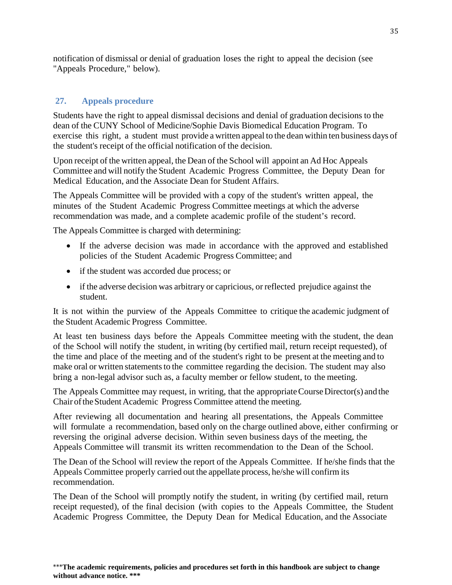notification of dismissal or denial of graduation loses the right to appeal the decision (see "Appeals Procedure," below).

## <span id="page-36-0"></span>**27. Appeals procedure**

Students have the right to appeal dismissal decisions and denial of graduation decisions to the dean of the CUNY School of Medicine/Sophie Davis Biomedical Education Program. To exercise this right, a student must provide a written appeal to the dean within ten business days of the student's receipt of the official notification of the decision.

Upon receipt of the written appeal, the Dean of the School will appoint an Ad Hoc Appeals Committee and will notify the Student Academic Progress Committee, the Deputy Dean for Medical Education, and the Associate Dean for Student Affairs.

The Appeals Committee will be provided with a copy of the student's written appeal, the minutes of the Student Academic Progress Committee meetings at which the adverse recommendation was made, and a complete academic profile of the student's record.

The Appeals Committee is charged with determining:

- If the adverse decision was made in accordance with the approved and established policies of the Student Academic Progress Committee; and
- if the student was accorded due process; or
- if the adverse decision was arbitrary or capricious, or reflected prejudice against the student.

It is not within the purview of the Appeals Committee to critique the academic judgment of the Student Academic Progress Committee.

At least ten business days before the Appeals Committee meeting with the student, the dean of the School will notify the student, in writing (by certified mail, return receipt requested), of the time and place of the meeting and of the student's right to be present at the meeting and to make oral or written statements to the committee regarding the decision. The student may also bring a non-legal advisor such as, a faculty member or fellow student, to the meeting.

The Appeals Committee may request, in writing, that the appropriate Course Director(s) and the Chair of the Student Academic Progress Committee attend the meeting.

After reviewing all documentation and hearing all presentations, the Appeals Committee will formulate a recommendation, based only on the charge outlined above, either confirming or reversing the original adverse decision. Within seven business days of the meeting, the Appeals Committee will transmit its written recommendation to the Dean of the School.

The Dean of the School will review the report of the Appeals Committee. If he/she finds that the Appeals Committee properly carried out the appellate process, he/she will confirm its recommendation.

The Dean of the School will promptly notify the student, in writing (by certified mail, return receipt requested), of the final decision (with copies to the Appeals Committee, the Student Academic Progress Committee, the Deputy Dean for Medical Education, and the Associate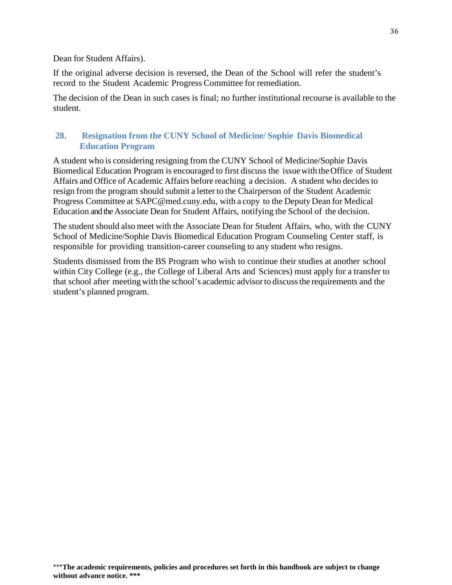Dean for Student Affairs).

If the original adverse decision is reversed, the Dean of the School will refer the student's record to the Student Academic Progress Committee for remediation.

The decision of the Dean in such cases is final; no further institutional recourse is available to the student.

#### <span id="page-37-0"></span>**28. Resignation from the CUNY School of Medicine/ Sophie Davis Biomedical Education Program**

A student who is considering resigning from the CUNY School of Medicine/Sophie Davis Biomedical Education Program is encouraged to first discuss the issuewith theOffice of Student Affairs and Office of Academic Affairs before reaching a decision. A student who decides to resign from the program should submit a letter to the Chairperson of the Student Academic Progress Committee at [SAPC@med.cuny.edu,](mailto:SAPC@med.cuny.edu) with a copy to the Deputy Dean for Medical Education and the Associate Dean for Student Affairs, notifying the School of the decision.

The student should also meet with the Associate Dean for Student Affairs, who, with the CUNY School of Medicine/Sophie Davis Biomedical Education Program Counseling Center staff, is responsible for providing transition-career counseling to any student who resigns.

Students dismissed from the BS Program who wish to continue their studies at another school within City College (e.g., the College of Liberal Arts and Sciences) must apply for a transfer to that school after meetingwith the school's academic advisorto discussthe requirements and the student's planned program.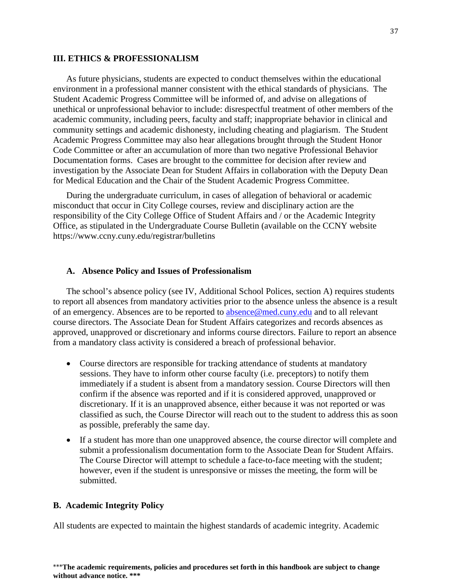#### <span id="page-38-0"></span>**III. ETHICS & PROFESSIONALISM**

As future physicians, students are expected to conduct themselves within the educational environment in a professional manner consistent with the ethical standards of physicians. The Student Academic Progress Committee will be informed of, and advise on allegations of unethical or unprofessional behavior to include: disrespectful treatment of other members of the academic community, including peers, faculty and staff; inappropriate behavior in clinical and community settings and academic dishonesty, including cheating and plagiarism. The Student Academic Progress Committee may also hear allegations brought through the Student Honor Code Committee or after an accumulation of more than two negative Professional Behavior Documentation forms. Cases are brought to the committee for decision after review and investigation by the Associate Dean for Student Affairs in collaboration with the Deputy Dean for Medical Education and the Chair of the Student Academic Progress Committee.

During the undergraduate curriculum, in cases of allegation of behavioral or academic misconduct that occur in City College courses, review and disciplinary action are the responsibility of the City College Office of Student Affairs and / or the Academic Integrity Office, as stipulated in the Undergraduate Course Bulletin (available on the CCNY website https://www.ccny.cuny.edu/registrar/bulletins

#### <span id="page-38-1"></span>**A. Absence Policy and Issues of Professionalism**

The school's absence policy (see IV, Additional School Polices, section A) requires students to report all absences from mandatory activities prior to the absence unless the absence is a result of an emergency. Absences are to be reported to [absence@med.cuny.edu](mailto:absence@med.cuny.edu) and to all relevant course directors. The Associate Dean for Student Affairs categorizes and records absences as approved, unapproved or discretionary and informs course directors. Failure to report an absence from a mandatory class activity is considered a breach of professional behavior.

- Course directors are responsible for tracking attendance of students at mandatory sessions. They have to inform other course faculty (i.e. preceptors) to notify them immediately if a student is absent from a mandatory session. Course Directors will then confirm if the absence was reported and if it is considered approved, unapproved or discretionary. If it is an unapproved absence, either because it was not reported or was classified as such, the Course Director will reach out to the student to address this as soon as possible, preferably the same day.
- If a student has more than one unapproved absence, the course director will complete and submit a professionalism documentation form to the Associate Dean for Student Affairs. The Course Director will attempt to schedule a face-to-face meeting with the student; however, even if the student is unresponsive or misses the meeting, the form will be submitted.

#### <span id="page-38-2"></span>**B. Academic Integrity Policy**

All students are expected to maintain the highest standards of academic integrity. Academic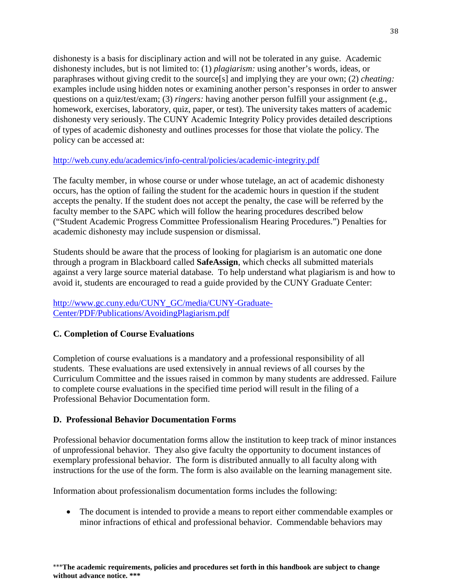dishonesty is a basis for disciplinary action and will not be tolerated in any guise. Academic dishonesty includes, but is not limited to: (1) *plagiarism:* using another's words, ideas, or paraphrases without giving credit to the source[s] and implying they are your own; (2) *cheating:* examples include using hidden notes or examining another person's responses in order to answer questions on a quiz/test/exam; (3) *ringers:* having another person fulfill your assignment (e.g., homework, exercises, laboratory, quiz, paper, or test). The university takes matters of academic dishonesty very seriously. The CUNY Academic Integrity Policy provides detailed descriptions of types of academic dishonesty and outlines processes for those that violate the policy. The policy can be accessed at:

#### <http://web.cuny.edu/academics/info-central/policies/academic-integrity.pdf>

The faculty member, in whose course or under whose tutelage, an act of academic dishonesty occurs, has the option of failing the student for the academic hours in question if the student accepts the penalty. If the student does not accept the penalty, the case will be referred by the faculty member to the SAPC which will follow the hearing procedures described below ("Student Academic Progress Committee Professionalism Hearing Procedures.") Penalties for academic dishonesty may include suspension or dismissal.

Students should be aware that the process of looking for plagiarism is an automatic one done through a program in Blackboard called **SafeAssign**, which checks all submitted materials against a very large source material database. To help understand what plagiarism is and how to avoid it, students are encouraged to read a guide provided by the CUNY Graduate Center:

## [http://www.gc.cuny.edu/CUNY\\_GC/media/CUNY-Graduate-](http://www.gc.cuny.edu/CUNY_GC/media/CUNY-Graduate-Center/PDF/Publications/AvoidingPlagiarism.pdf)[Center/PDF/Publications/AvoidingPlagiarism.pdf](http://www.gc.cuny.edu/CUNY_GC/media/CUNY-Graduate-Center/PDF/Publications/AvoidingPlagiarism.pdf)

## <span id="page-39-0"></span>**C. Completion of Course Evaluations**

Completion of course evaluations is a mandatory and a professional responsibility of all students. These evaluations are used extensively in annual reviews of all courses by the Curriculum Committee and the issues raised in common by many students are addressed. Failure to complete course evaluations in the specified time period will result in the filing of a Professional Behavior Documentation form.

## <span id="page-39-1"></span>**D. Professional Behavior Documentation Forms**

Professional behavior documentation forms allow the institution to keep track of minor instances of unprofessional behavior. They also give faculty the opportunity to document instances of exemplary professional behavior. The form is distributed annually to all faculty along with instructions for the use of the form. The form is also available on the learning management site.

Information about professionalism documentation forms includes the following:

• The document is intended to provide a means to report either commendable examples or minor infractions of ethical and professional behavior. Commendable behaviors may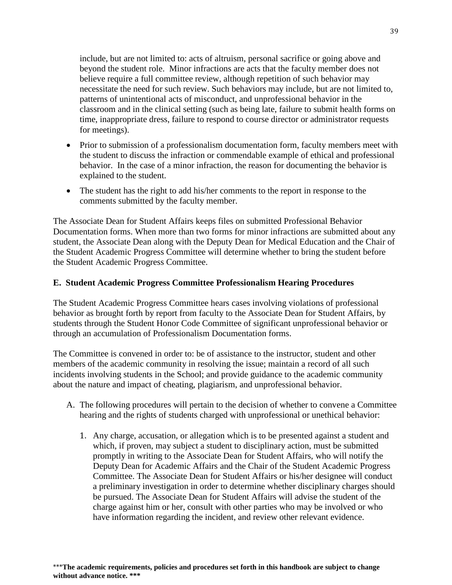include, but are not limited to: acts of altruism, personal sacrifice or going above and beyond the student role. Minor infractions are acts that the faculty member does not believe require a full committee review, although repetition of such behavior may necessitate the need for such review. Such behaviors may include, but are not limited to, patterns of unintentional acts of misconduct, and unprofessional behavior in the classroom and in the clinical setting (such as being late, failure to submit health forms on time, inappropriate dress, failure to respond to course director or administrator requests for meetings).

- Prior to submission of a professionalism documentation form, faculty members meet with the student to discuss the infraction or commendable example of ethical and professional behavior. In the case of a minor infraction, the reason for documenting the behavior is explained to the student.
- The student has the right to add his/her comments to the report in response to the comments submitted by the faculty member.

The Associate Dean for Student Affairs keeps files on submitted Professional Behavior Documentation forms. When more than two forms for minor infractions are submitted about any student, the Associate Dean along with the Deputy Dean for Medical Education and the Chair of the Student Academic Progress Committee will determine whether to bring the student before the Student Academic Progress Committee.

## <span id="page-40-0"></span>**E. Student Academic Progress Committee Professionalism Hearing Procedures**

The Student Academic Progress Committee hears cases involving violations of professional behavior as brought forth by report from faculty to the Associate Dean for Student Affairs, by students through the Student Honor Code Committee of significant unprofessional behavior or through an accumulation of Professionalism Documentation forms.

The Committee is convened in order to: be of assistance to the instructor, student and other members of the academic community in resolving the issue; maintain a record of all such incidents involving students in the School; and provide guidance to the academic community about the nature and impact of cheating, plagiarism, and unprofessional behavior.

- A. The following procedures will pertain to the decision of whether to convene a Committee hearing and the rights of students charged with unprofessional or unethical behavior:
	- 1. Any charge, accusation, or allegation which is to be presented against a student and which, if proven, may subject a student to disciplinary action, must be submitted promptly in writing to the Associate Dean for Student Affairs, who will notify the Deputy Dean for Academic Affairs and the Chair of the Student Academic Progress Committee. The Associate Dean for Student Affairs or his/her designee will conduct a preliminary investigation in order to determine whether disciplinary charges should be pursued. The Associate Dean for Student Affairs will advise the student of the charge against him or her, consult with other parties who may be involved or who have information regarding the incident, and review other relevant evidence.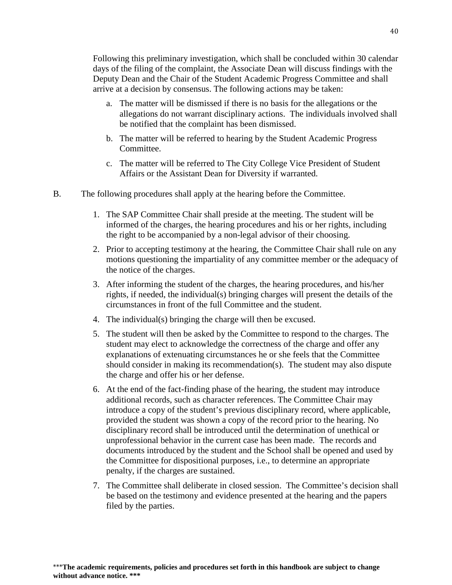Following this preliminary investigation, which shall be concluded within 30 calendar days of the filing of the complaint, the Associate Dean will discuss findings with the Deputy Dean and the Chair of the Student Academic Progress Committee and shall arrive at a decision by consensus. The following actions may be taken:

- a. The matter will be dismissed if there is no basis for the allegations or the allegations do not warrant disciplinary actions. The individuals involved shall be notified that the complaint has been dismissed.
- b. The matter will be referred to hearing by the Student Academic Progress Committee.
- c. The matter will be referred to The City College Vice President of Student Affairs or the Assistant Dean for Diversity if warranted.
- B. The following procedures shall apply at the hearing before the Committee.
	- 1. The SAP Committee Chair shall preside at the meeting. The student will be informed of the charges, the hearing procedures and his or her rights, including the right to be accompanied by a non-legal advisor of their choosing.
	- 2. Prior to accepting testimony at the hearing, the Committee Chair shall rule on any motions questioning the impartiality of any committee member or the adequacy of the notice of the charges.
	- 3. After informing the student of the charges, the hearing procedures, and his/her rights, if needed, the individual(s) bringing charges will present the details of the circumstances in front of the full Committee and the student.
	- 4. The individual(s) bringing the charge will then be excused.
	- 5. The student will then be asked by the Committee to respond to the charges. The student may elect to acknowledge the correctness of the charge and offer any explanations of extenuating circumstances he or she feels that the Committee should consider in making its recommendation(s). The student may also dispute the charge and offer his or her defense.
	- 6. At the end of the fact-finding phase of the hearing, the student may introduce additional records, such as character references. The Committee Chair may introduce a copy of the student's previous disciplinary record, where applicable, provided the student was shown a copy of the record prior to the hearing. No disciplinary record shall be introduced until the determination of unethical or unprofessional behavior in the current case has been made. The records and documents introduced by the student and the School shall be opened and used by the Committee for dispositional purposes, i.e., to determine an appropriate penalty, if the charges are sustained.
	- 7. The Committee shall deliberate in closed session. The Committee's decision shall be based on the testimony and evidence presented at the hearing and the papers filed by the parties.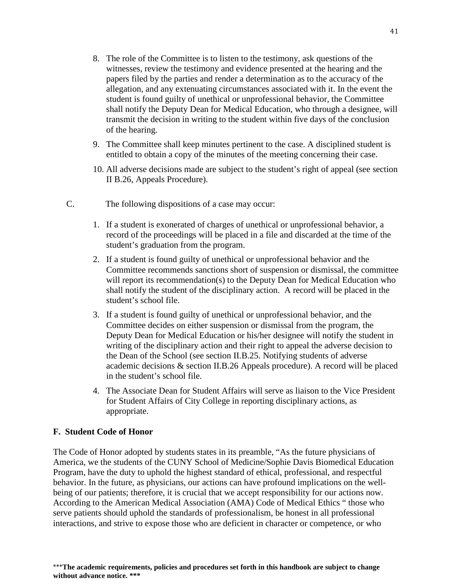- 8. The role of the Committee is to listen to the testimony, ask questions of the witnesses, review the testimony and evidence presented at the hearing and the papers filed by the parties and render a determination as to the accuracy of the allegation, and any extenuating circumstances associated with it. In the event the student is found guilty of unethical or unprofessional behavior, the Committee shall notify the Deputy Dean for Medical Education, who through a designee, will transmit the decision in writing to the student within five days of the conclusion of the hearing.
- 9. The Committee shall keep minutes pertinent to the case. A disciplined student is entitled to obtain a copy of the minutes of the meeting concerning their case.
- 10. All adverse decisions made are subject to the student's right of appeal (see section II B.26, Appeals Procedure).
- C. The following dispositions of a case may occur:
	- 1. If a student is exonerated of charges of unethical or unprofessional behavior, a record of the proceedings will be placed in a file and discarded at the time of the student's graduation from the program.
	- 2. If a student is found guilty of unethical or unprofessional behavior and the Committee recommends sanctions short of suspension or dismissal, the committee will report its recommendation(s) to the Deputy Dean for Medical Education who shall notify the student of the disciplinary action. A record will be placed in the student's school file.
	- 3. If a student is found guilty of unethical or unprofessional behavior, and the Committee decides on either suspension or dismissal from the program, the Deputy Dean for Medical Education or his/her designee will notify the student in writing of the disciplinary action and their right to appeal the adverse decision to the Dean of the School (see section II.B.25. Notifying students of adverse academic decisions & section II.B.26 Appeals procedure). A record will be placed in the student's school file.
	- 4. The Associate Dean for Student Affairs will serve as liaison to the Vice President for Student Affairs of City College in reporting disciplinary actions, as appropriate.

#### <span id="page-42-0"></span>**F. Student Code of Honor**

The Code of Honor adopted by students states in its preamble, "As the future physicians of America, we the students of the CUNY School of Medicine/Sophie Davis Biomedical Education Program, have the duty to uphold the highest standard of ethical, professional, and respectful behavior. In the future, as physicians, our actions can have profound implications on the wellbeing of our patients; therefore, it is crucial that we accept responsibility for our actions now. According to the American Medical Association (AMA) Code of Medical Ethics " those who serve patients should uphold the standards of professionalism, be honest in all professional interactions, and strive to expose those who are deficient in character or competence, or who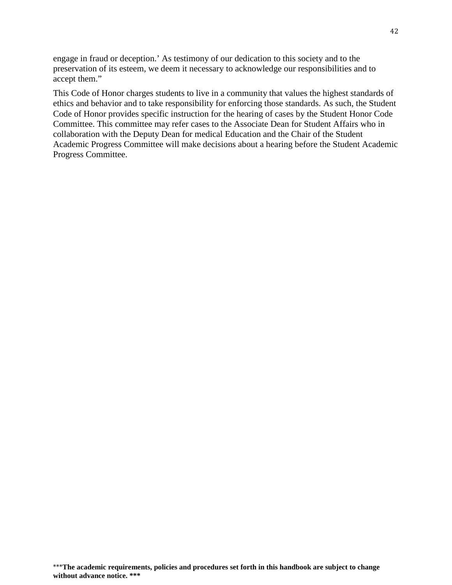engage in fraud or deception.' As testimony of our dedication to this society and to the preservation of its esteem, we deem it necessary to acknowledge our responsibilities and to accept them."

This Code of Honor charges students to live in a community that values the highest standards of ethics and behavior and to take responsibility for enforcing those standards. As such, the Student Code of Honor provides specific instruction for the hearing of cases by the Student Honor Code Committee. This committee may refer cases to the Associate Dean for Student Affairs who in collaboration with the Deputy Dean for medical Education and the Chair of the Student Academic Progress Committee will make decisions about a hearing before the Student Academic Progress Committee.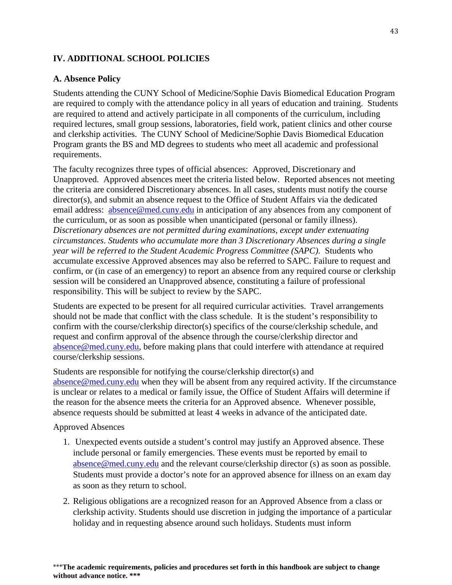## <span id="page-44-0"></span>**IV. ADDITIONAL SCHOOL POLICIES**

#### <span id="page-44-1"></span>**A. Absence Policy**

Students attending the CUNY School of Medicine/Sophie Davis Biomedical Education Program are required to comply with the attendance policy in all years of education and training. Students are required to attend and actively participate in all components of the curriculum, including required lectures, small group sessions, laboratories, field work, patient clinics and other course and clerkship activities. The CUNY School of Medicine/Sophie Davis Biomedical Education Program grants the BS and MD degrees to students who meet all academic and professional requirements.

The faculty recognizes three types of official absences: Approved, Discretionary and Unapproved. Approved absences meet the criteria listed below. Reported absences not meeting the criteria are considered Discretionary absences. In all cases, students must notify the course director(s), and submit an absence request to the Office of Student Affairs via the dedicated email address: [absence@med.cuny.edu](mailto:absence@med.cuny.edu) in anticipation of any absences from any component of the curriculum, or as soon as possible when unanticipated (personal or family illness). *Discretionary absences are not permitted during examinations, except under extenuating circumstances*. *Students who accumulate more than 3 Discretionary Absences during a single year will be referred to the Student Academic Progress Committee (SAPC).* Students who accumulate excessive Approved absences may also be referred to SAPC. Failure to request and confirm, or (in case of an emergency) to report an absence from any required course or clerkship session will be considered an Unapproved absence, constituting a failure of professional responsibility. This will be subject to review by the SAPC.

Students are expected to be present for all required curricular activities. Travel arrangements should not be made that conflict with the class schedule. It is the student's responsibility to confirm with the course/clerkship director(s) specifics of the course/clerkship schedule, and request and confirm approval of the absence through the course/clerkship director and [absence@med.cuny.edu,](mailto:absence@med.cuny.edu) before making plans that could interfere with attendance at required course/clerkship sessions.

Students are responsible for notifying the course/clerkship director(s) and [absence@med.cuny.edu](mailto:absence@med.cuny.edu) when they will be absent from any required activity. If the circumstance is unclear or relates to a medical or family issue, the Office of Student Affairs will determine if the reason for the absence meets the criteria for an Approved absence. Whenever possible, absence requests should be submitted at least 4 weeks in advance of the anticipated date.

Approved Absences

- 1. Unexpected events outside a student's control may justify an Approved absence. These include personal or family emergencies. These events must be reported by email to [absence@med.cuny.edu](mailto:absence@med.cuny.edu) and the relevant course/clerkship director (s) as soon as possible. Students must provide a doctor's note for an approved absence for illness on an exam day as soon as they return to school.
- 2. Religious obligations are a recognized reason for an Approved Absence from a class or clerkship activity. Students should use discretion in judging the importance of a particular holiday and in requesting absence around such holidays. Students must inform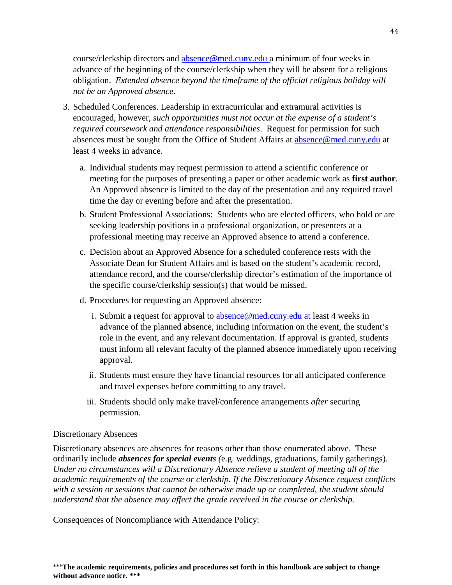course/clerkship directors and [absence@med.cuny.edu](mailto:absence@med.cuny.edu) a minimum of four weeks in advance of the beginning of the course/clerkship when they will be absent for a religious obligation. *Extended absence beyond the timeframe of the official religious holiday will not be an Approved absence*.

- 3. Scheduled Conferences. Leadership in extracurricular and extramural activities is encouraged, however, *such opportunities must not occur at the expense of a student's required coursework and attendance responsibilities*. Request for permission for such absences must be sought from the Office of Student Affairs at [absence@med.cuny.edu](mailto:absence@med.cuny.edu) at least 4 weeks in advance.
	- a. Individual students may request permission to attend a scientific conference or meeting for the purposes of presenting a paper or other academic work as **first author**. An Approved absence is limited to the day of the presentation and any required travel time the day or evening before and after the presentation.
	- b. Student Professional Associations: Students who are elected officers, who hold or are seeking leadership positions in a professional organization, or presenters at a professional meeting may receive an Approved absence to attend a conference.
	- c. Decision about an Approved Absence for a scheduled conference rests with the Associate Dean for Student Affairs and is based on the student's academic record, attendance record, and the course/clerkship director's estimation of the importance of the specific course/clerkship session(s) that would be missed.
	- d. Procedures for requesting an Approved absence:
		- i. Submit a request for approval to  $\frac{ab\,\text{succ}\,\text{@med}.\text{cuny.edu}$  at least 4 weeks in advance of the planned absence, including information on the event, the student's role in the event, and any relevant documentation. If approval is granted, students must inform all relevant faculty of the planned absence immediately upon receiving approval.
		- ii. Students must ensure they have financial resources for all anticipated conference and travel expenses before committing to any travel.
		- iii. Students should only make travel/conference arrangements *after* securing permission.

#### Discretionary Absences

Discretionary absences are absences for reasons other than those enumerated above. These ordinarily include *absences for special events (*e.g. weddings, graduations, family gatherings). *Under no circumstances will a Discretionary Absence relieve a student of meeting all of the academic requirements of the course or clerkship. If the Discretionary Absence request conflicts with a session or sessions that cannot be otherwise made up or completed, the student should understand that the absence may affect the grade received in the course or clerkship.*

Consequences of Noncompliance with Attendance Policy: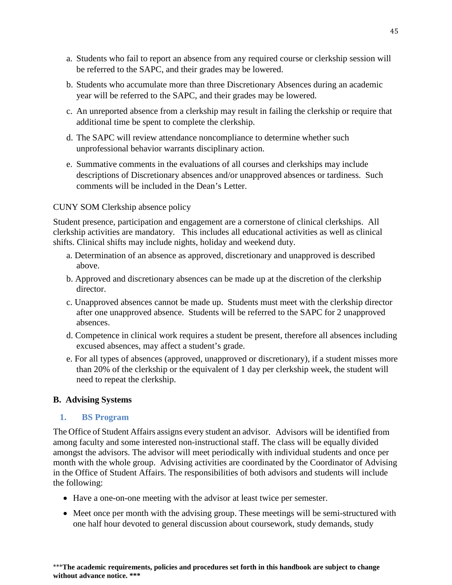- a. Students who fail to report an absence from any required course or clerkship session will be referred to the SAPC, and their grades may be lowered.
- b. Students who accumulate more than three Discretionary Absences during an academic year will be referred to the SAPC, and their grades may be lowered.
- c. An unreported absence from a clerkship may result in failing the clerkship or require that additional time be spent to complete the clerkship.
- d. The SAPC will review attendance noncompliance to determine whether such unprofessional behavior warrants disciplinary action.
- e. Summative comments in the evaluations of all courses and clerkships may include descriptions of Discretionary absences and/or unapproved absences or tardiness. Such comments will be included in the Dean's Letter.

## CUNY SOM Clerkship absence policy

Student presence, participation and engagement are a cornerstone of clinical clerkships. All clerkship activities are mandatory. This includes all educational activities as well as clinical shifts. Clinical shifts may include nights, holiday and weekend duty.

- a. Determination of an absence as approved, discretionary and unapproved is described above.
- b. Approved and discretionary absences can be made up at the discretion of the clerkship director.
- c. Unapproved absences cannot be made up. Students must meet with the clerkship director after one unapproved absence. Students will be referred to the SAPC for 2 unapproved absences.
- d. Competence in clinical work requires a student be present, therefore all absences including excused absences, may affect a student's grade.
- e. For all types of absences (approved, unapproved or discretionary), if a student misses more than 20% of the clerkship or the equivalent of 1 day per clerkship week, the student will need to repeat the clerkship.

#### <span id="page-46-0"></span>**B. Advising Systems**

#### <span id="page-46-1"></span>**1. BS Program**

The Office of Student Affairs assigns every student an advisor. Advisors will be identified from among faculty and some interested non-instructional staff. The class will be equally divided amongst the advisors. The advisor will meet periodically with individual students and once per month with the whole group. Advising activities are coordinated by the Coordinator of Advising in the Office of Student Affairs. The responsibilities of both advisors and students will include the following:

- Have a one-on-one meeting with the advisor at least twice per semester.
- Meet once per month with the advising group. These meetings will be semi-structured with one half hour devoted to general discussion about coursework, study demands, study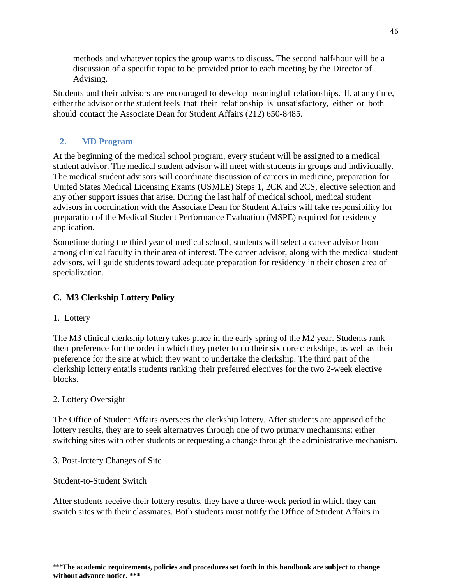methods and whatever topics the group wants to discuss. The second half-hour will be a discussion of a specific topic to be provided prior to each meeting by the Director of Advising.

Students and their advisors are encouraged to develop meaningful relationships. If, at any time, either the advisor or the student feels that their relationship is unsatisfactory, either or both should contact the Associate Dean for Student Affairs (212) 650-8485.

## <span id="page-47-0"></span>**2. MD Program**

At the beginning of the medical school program, every student will be assigned to a medical student advisor. The medical student advisor will meet with students in groups and individually. The medical student advisors will coordinate discussion of careers in medicine, preparation for United States Medical Licensing Exams (USMLE) Steps 1, 2CK and 2CS, elective selection and any other support issues that arise. During the last half of medical school, medical student advisors in coordination with the Associate Dean for Student Affairs will take responsibility for preparation of the Medical Student Performance Evaluation (MSPE) required for residency application.

Sometime during the third year of medical school, students will select a career advisor from among clinical faculty in their area of interest. The career advisor, along with the medical student advisors, will guide students toward adequate preparation for residency in their chosen area of specialization.

## <span id="page-47-1"></span>**C. M3 Clerkship Lottery Policy**

## 1. Lottery

The M3 clinical clerkship lottery takes place in the early spring of the M2 year. Students rank their preference for the order in which they prefer to do their six core clerkships, as well as their preference for the site at which they want to undertake the clerkship. The third part of the clerkship lottery entails students ranking their preferred electives for the two 2-week elective blocks.

#### 2. Lottery Oversight

The Office of Student Affairs oversees the clerkship lottery. After students are apprised of the lottery results, they are to seek alternatives through one of two primary mechanisms: either switching sites with other students or requesting a change through the administrative mechanism.

#### 3. Post-lottery Changes of Site

#### Student-to-Student Switch

After students receive their lottery results, they have a three-week period in which they can switch sites with their classmates. Both students must notify the Office of Student Affairs in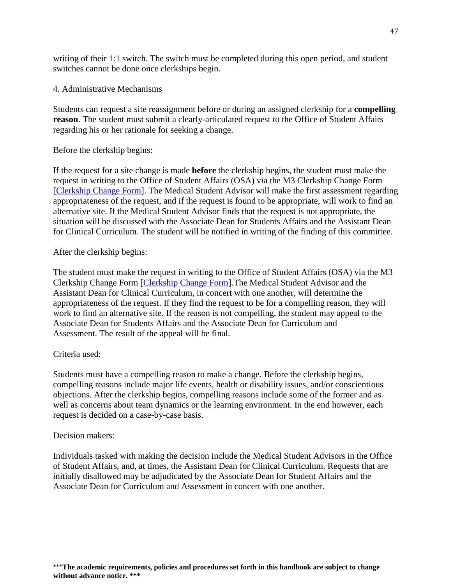writing of their 1:1 switch. The switch must be completed during this open period, and student switches cannot be done once clerkships begin.

4. Administrative Mechanisms

Students can request a site reassignment before or during an assigned clerkship for a **compelling reason**. The student must submit a clearly-articulated request to the Office of Student Affairs regarding his or her rationale for seeking a change.

Before the clerkship begins:

If the request for a site change is made **before** the clerkship begins, the student must make the request in writing to the Office of Student Affairs (OSA) via the M3 Clerkship Change Form [\[Clerkship Change Form\]](https://redcap.ccny.cuny.edu/redcap/surveys/?s=8EKE3XKKFM). The Medical Student Advisor will make the first assessment regarding appropriateness of the request, and if the request is found to be appropriate, will work to find an alternative site. If the Medical Student Advisor finds that the request is not appropriate, the situation will be discussed with the Associate Dean for Students Affairs and the Assistant Dean for Clinical Curriculum. The student will be notified in writing of the finding of this committee.

After the clerkship begins:

The student must make the request in writing to the Office of Student Affairs (OSA) via the M3 Clerkship Change Form [\[Clerkship Change Form\]](https://redcap.ccny.cuny.edu/redcap/surveys/?s=8EKE3XKKFM).The Medical Student Advisor and the Assistant Dean for Clinical Curriculum, in concert with one another, will determine the appropriateness of the request. If they find the request to be for a compelling reason, they will work to find an alternative site. If the reason is not compelling, the student may appeal to the Associate Dean for Students Affairs and the Associate Dean for Curriculum and Assessment. The result of the appeal will be final.

## Criteria used:

Students must have a compelling reason to make a change. Before the clerkship begins, compelling reasons include major life events, health or disability issues, and/or conscientious objections. After the clerkship begins, compelling reasons include some of the former and as well as concerns about team dynamics or the learning environment. In the end however, each request is decided on a case-by-case basis.

#### Decision makers:

Individuals tasked with making the decision include the Medical Student Advisors in the Office of Student Affairs, and, at times, the Assistant Dean for Clinical Curriculum. Requests that are initially disallowed may be adjudicated by the Associate Dean for Student Affairs and the Associate Dean for Curriculum and Assessment in concert with one another.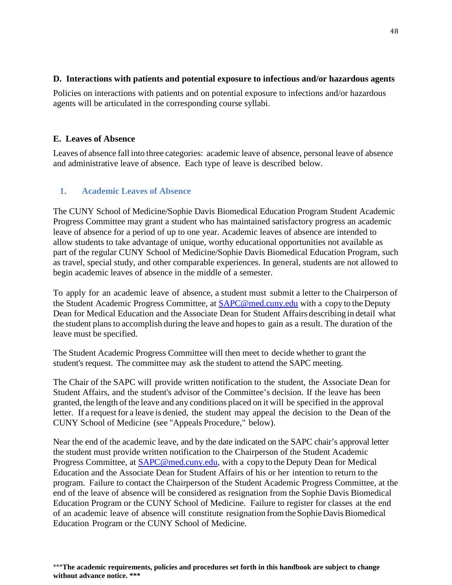## <span id="page-49-0"></span>**D. Interactions with patients and potential exposure to infectious and/or hazardous agents**

Policies on interactions with patients and on potential exposure to infections and/or hazardous agents will be articulated in the corresponding course syllabi.

## <span id="page-49-1"></span>**E. Leaves of Absence**

Leaves of absence fall into three categories: academic leave of absence, personal leave of absence and administrative leave of absence. Each type of leave is described below.

## <span id="page-49-2"></span>**1. Academic Leaves of Absence**

The CUNY School of Medicine/Sophie Davis Biomedical Education Program Student Academic Progress Committee may grant a student who has maintained satisfactory progress an academic leave of absence for a period of up to one year. Academic leaves of absence are intended to allow students to take advantage of unique, worthy educational opportunities not available as part of the regular CUNY School of Medicine/Sophie Davis Biomedical Education Program, such as travel, special study, and other comparable experiences. In general, students are not allowed to begin academic leaves of absence in the middle of a semester.

To apply for an academic leave of absence, a student must submit a letter to the Chairperson of the Student Academic Progress Committee, at [SAPC@med.cuny.edu](mailto:SAPC@med.cuny.edu) with a copy to the Deputy Dean for Medical Education and the Associate Dean for Student Affairs describing in detail what the student plansto accomplish during the leave and hopesto gain as a result. The duration of the leave must be specified.

The Student Academic Progress Committee will then meet to decide whether to grant the student's request. The committee may ask the student to attend the SAPC meeting.

The Chair of the SAPC will provide written notification to the student, the Associate Dean for Student Affairs, and the student's advisor of the Committee's decision. If the leave has been granted, the length of the leave and any conditions placed on it will be specified in the approval letter. If a request for a leave is denied, the student may appeal the decision to the Dean of the CUNY School of Medicine (see "Appeals Procedure," below).

Near the end of the academic leave, and by the date indicated on the SAPC chair's approval letter the student must provide written notification to the Chairperson of the Student Academic Progress Committee, at **SAPC@med.cuny.edu**, with a copy to the Deputy Dean for Medical Education and the Associate Dean for Student Affairs of his or her intention to return to the program. Failure to contact the Chairperson of the Student Academic Progress Committee, at the end of the leave of absence will be considered as resignation from the Sophie Davis Biomedical Education Program or the CUNY School of Medicine. Failure to register for classes at the end of an academic leave of absence will constitute resignation fromtheSophieDavisBiomedical Education Program or the CUNY School of Medicine.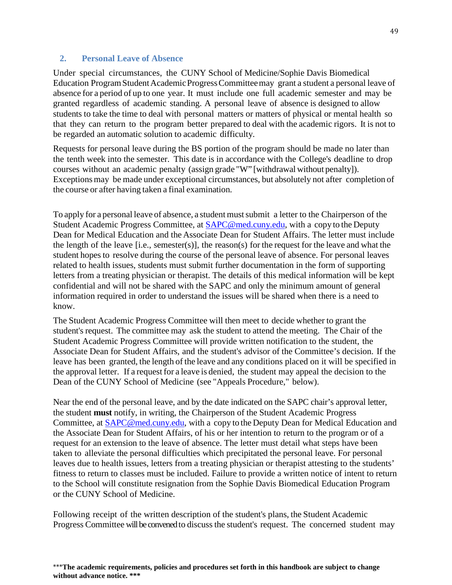#### <span id="page-50-0"></span>**2. Personal Leave of Absence**

Under special circumstances, the CUNY School of Medicine/Sophie Davis Biomedical Education Program Student Academic Progress Committee may grant a student a personal leave of absence for a period of up to one year. It must include one full academic semester and may be granted regardless of academic standing. A personal leave of absence is designed to allow students to take the time to deal with personal matters or matters of physical or mental health so that they can return to the program better prepared to deal with the academic rigors. It is not to be regarded an automatic solution to academic difficulty.

Requests for personal leave during the BS portion of the program should be made no later than the tenth week into the semester. This date is in accordance with the College's deadline to drop courses without an academic penalty (assign grade "W" [withdrawal without penalty]). Exceptions may be made under exceptional circumstances, but absolutely not after completion of the course or after having taken a final examination.

To apply for a personal leave of absence, a student mustsubmit a letter to the Chairperson of the Student Academic Progress Committee, at [SAPC@med.cuny.edu,](mailto:SAPC@med.cuny.edu) with a copy to the Deputy Dean for Medical Education and the Associate Dean for Student Affairs. The letter must include the length of the leave  $[i.e.,$  semester(s)], the reason(s) for the request for the leave and what the student hopesto resolve during the course of the personal leave of absence. For personal leaves related to health issues, students must submit further documentation in the form of supporting letters from a treating physician or therapist. The details of this medical information will be kept confidential and will not be shared with the SAPC and only the minimum amount of general information required in order to understand the issues will be shared when there is a need to know.

The Student Academic Progress Committee will then meet to decide whether to grant the student's request. The committee may ask the student to attend the meeting. The Chair of the Student Academic Progress Committee will provide written notification to the student, the Associate Dean for Student Affairs, and the student's advisor of the Committee's decision. If the leave has been granted, the length of the leave and any conditions placed on it will be specified in the approval letter. If a request for a leave is denied, the student may appeal the decision to the Dean of the CUNY School of Medicine (see "Appeals Procedure," below).

Near the end of the personal leave, and by the date indicated on the SAPC chair's approval letter, the student **must** notify, in writing, the Chairperson of the Student Academic Progress Committee, at [SAPC@med.cuny.edu,](mailto:SAPC@med.cuny.edu) with a copy to the Deputy Dean for Medical Education and the Associate Dean for Student Affairs, of his or her intention to return to the program or of a request for an extension to the leave of absence. The letter must detail what steps have been taken to alleviate the personal difficulties which precipitated the personal leave. For personal leaves due to health issues, letters from a treating physician or therapist attesting to the students' fitness to return to classes must be included. Failure to provide a written notice of intent to return to the School will constitute resignation from the Sophie Davis Biomedical Education Program or the CUNY School of Medicine.

Following receipt of the written description of the student's plans, the Student Academic Progress Committee will be convened to discuss the student's request. The concerned student may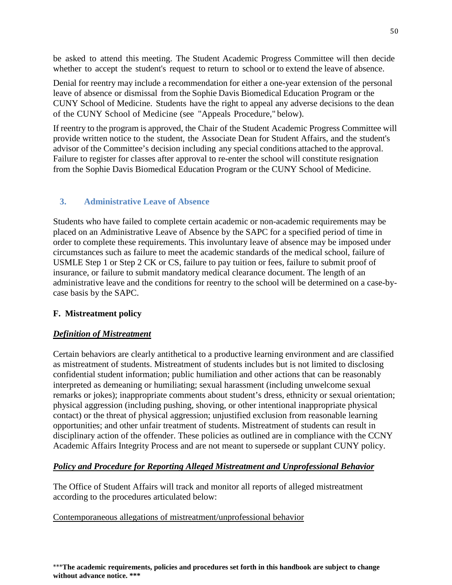be asked to attend this meeting. The Student Academic Progress Committee will then decide whether to accept the student's request to return to school or to extend the leave of absence.

Denial for reentry may include a recommendation for either a one-year extension of the personal leave of absence or dismissal from the Sophie Davis Biomedical Education Program or the CUNY School of Medicine. Students have the right to appeal any adverse decisions to the dean of the CUNY School of Medicine (see "Appeals Procedure," below).

If reentry to the program is approved, the Chair of the Student Academic Progress Committee will provide written notice to the student, the Associate Dean for Student Affairs, and the student's advisor of the Committee's decision including any special conditions attached to the approval. Failure to register for classes after approval to re-enter the school will constitute resignation from the Sophie Davis Biomedical Education Program or the CUNY School of Medicine.

## <span id="page-51-0"></span>**3. Administrative Leave of Absence**

Students who have failed to complete certain academic or non-academic requirements may be placed on an Administrative Leave of Absence by the SAPC for a specified period of time in order to complete these requirements. This involuntary leave of absence may be imposed under circumstances such as failure to meet the academic standards of the medical school, failure of USMLE Step 1 or Step 2 CK or CS, failure to pay tuition or fees, failure to submit proof of insurance, or failure to submit mandatory medical clearance document. The length of an administrative leave and the conditions for reentry to the school will be determined on a case-bycase basis by the SAPC.

## <span id="page-51-1"></span>**F. Mistreatment policy**

## *Definition of Mistreatment*

Certain behaviors are clearly antithetical to a productive learning environment and are classified as mistreatment of students. Mistreatment of students includes but is not limited to disclosing confidential student information; public humiliation and other actions that can be reasonably interpreted as demeaning or humiliating; sexual harassment (including unwelcome sexual remarks or jokes); inappropriate comments about student's dress, ethnicity or sexual orientation; physical aggression (including pushing, shoving, or other intentional inappropriate physical contact) or the threat of physical aggression; unjustified exclusion from reasonable learning opportunities; and other unfair treatment of students. Mistreatment of students can result in disciplinary action of the offender. These policies as outlined are in compliance with the CCNY Academic Affairs Integrity Process and are not meant to supersede or supplant CUNY policy.

## *Policy and Procedure for Reporting Alleged Mistreatment and Unprofessional Behavior*

The Office of Student Affairs will track and monitor all reports of alleged mistreatment according to the procedures articulated below:

#### Contemporaneous allegations of mistreatment/unprofessional behavior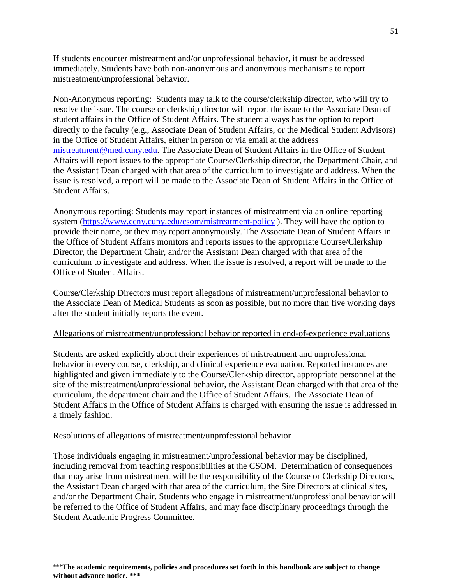If students encounter mistreatment and/or unprofessional behavior, it must be addressed immediately. Students have both non-anonymous and anonymous mechanisms to report mistreatment/unprofessional behavior.

Non-Anonymous reporting: Students may talk to the course/clerkship director, who will try to resolve the issue. The course or clerkship director will report the issue to the Associate Dean of student affairs in the Office of Student Affairs. The student always has the option to report directly to the faculty (e.g., Associate Dean of Student Affairs, or the Medical Student Advisors) in the Office of Student Affairs, either in person or via email at the address [mistreatment@med.cuny.edu.](mailto:complaints@med.cuny.edu) The Associate Dean of Student Affairs in the Office of Student Affairs will report issues to the appropriate Course/Clerkship director, the Department Chair, and the Assistant Dean charged with that area of the curriculum to investigate and address. When the issue is resolved, a report will be made to the Associate Dean of Student Affairs in the Office of Student Affairs.

Anonymous reporting: Students may report instances of mistreatment via an online reporting system [\(https://www.ccny.cuny.edu/csom/mistreatment-policy](https://www.ccny.cuny.edu/csom/mistreatment-policy) ). They will have the option to provide their name, or they may report anonymously. The Associate Dean of Student Affairs in the Office of Student Affairs monitors and reports issues to the appropriate Course/Clerkship Director, the Department Chair, and/or the Assistant Dean charged with that area of the curriculum to investigate and address. When the issue is resolved, a report will be made to the Office of Student Affairs.

Course/Clerkship Directors must report allegations of mistreatment/unprofessional behavior to the Associate Dean of Medical Students as soon as possible, but no more than five working days after the student initially reports the event.

#### Allegations of mistreatment/unprofessional behavior reported in end-of-experience evaluations

Students are asked explicitly about their experiences of mistreatment and unprofessional behavior in every course, clerkship, and clinical experience evaluation. Reported instances are highlighted and given immediately to the Course/Clerkship director, appropriate personnel at the site of the mistreatment/unprofessional behavior, the Assistant Dean charged with that area of the curriculum, the department chair and the Office of Student Affairs. The Associate Dean of Student Affairs in the Office of Student Affairs is charged with ensuring the issue is addressed in a timely fashion.

#### Resolutions of allegations of mistreatment/unprofessional behavior

Those individuals engaging in mistreatment/unprofessional behavior may be disciplined, including removal from teaching responsibilities at the CSOM. Determination of consequences that may arise from mistreatment will be the responsibility of the Course or Clerkship Directors, the Assistant Dean charged with that area of the curriculum, the Site Directors at clinical sites, and/or the Department Chair. Students who engage in mistreatment/unprofessional behavior will be referred to the Office of Student Affairs, and may face disciplinary proceedings through the Student Academic Progress Committee.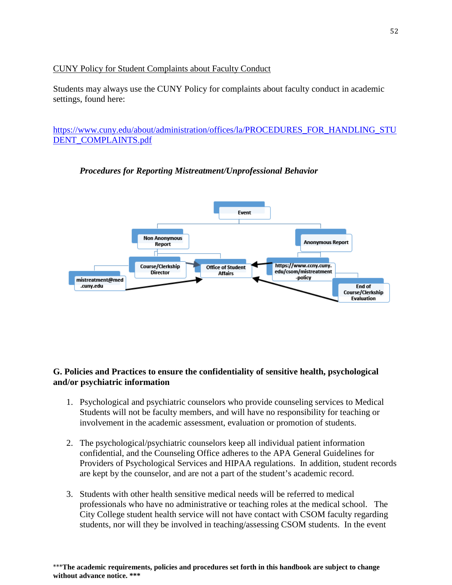## CUNY Policy for Student Complaints about Faculty Conduct

Students may always use the CUNY Policy for complaints about faculty conduct in academic settings, found here:

[https://www.cuny.edu/about/administration/offices/la/PROCEDURES\\_FOR\\_HANDLING\\_STU](https://www.cuny.edu/about/administration/offices/la/PROCEDURES_FOR_HANDLING_STUDENT_COMPLAINTS.pdf) [DENT\\_COMPLAINTS.pdf](https://www.cuny.edu/about/administration/offices/la/PROCEDURES_FOR_HANDLING_STUDENT_COMPLAINTS.pdf)



## *Procedures for Reporting Mistreatment/Unprofessional Behavior*

## <span id="page-53-0"></span>**G. Policies and Practices to ensure the confidentiality of sensitive health, psychological and/or psychiatric information**

- 1. Psychological and psychiatric counselors who provide counseling services to Medical Students will not be faculty members, and will have no responsibility for teaching or involvement in the academic assessment, evaluation or promotion of students.
- 2. The psychological/psychiatric counselors keep all individual patient information confidential, and the Counseling Office adheres to the APA General Guidelines for Providers of Psychological Services and HIPAA regulations. In addition, student records are kept by the counselor, and are not a part of the student's academic record.
- 3. Students with other health sensitive medical needs will be referred to medical professionals who have no administrative or teaching roles at the medical school. The City College student health service will not have contact with CSOM faculty regarding students, nor will they be involved in teaching/assessing CSOM students. In the event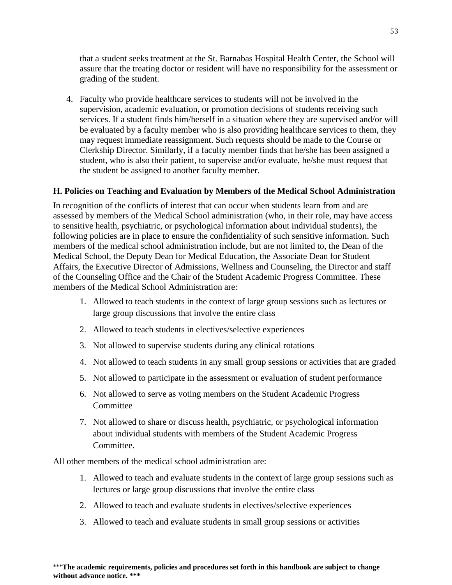that a student seeks treatment at the St. Barnabas Hospital Health Center, the School will assure that the treating doctor or resident will have no responsibility for the assessment or grading of the student.

4. Faculty who provide healthcare services to students will not be involved in the supervision, academic evaluation, or promotion decisions of students receiving such services. If a student finds him/herself in a situation where they are supervised and/or will be evaluated by a faculty member who is also providing healthcare services to them, they may request immediate reassignment. Such requests should be made to the Course or Clerkship Director. Similarly, if a faculty member finds that he/she has been assigned a student, who is also their patient, to supervise and/or evaluate, he/she must request that the student be assigned to another faculty member.

## <span id="page-54-0"></span>**H. Policies on Teaching and Evaluation by Members of the Medical School Administration**

In recognition of the conflicts of interest that can occur when students learn from and are assessed by members of the Medical School administration (who, in their role, may have access to sensitive health, psychiatric, or psychological information about individual students), the following policies are in place to ensure the confidentiality of such sensitive information. Such members of the medical school administration include, but are not limited to, the Dean of the Medical School, the Deputy Dean for Medical Education, the Associate Dean for Student Affairs, the Executive Director of Admissions, Wellness and Counseling, the Director and staff of the Counseling Office and the Chair of the Student Academic Progress Committee. These members of the Medical School Administration are:

- 1. Allowed to teach students in the context of large group sessions such as lectures or large group discussions that involve the entire class
- 2. Allowed to teach students in electives/selective experiences
- 3. Not allowed to supervise students during any clinical rotations
- 4. Not allowed to teach students in any small group sessions or activities that are graded
- 5. Not allowed to participate in the assessment or evaluation of student performance
- 6. Not allowed to serve as voting members on the Student Academic Progress **Committee**
- 7. Not allowed to share or discuss health, psychiatric, or psychological information about individual students with members of the Student Academic Progress Committee.

All other members of the medical school administration are:

- 1. Allowed to teach and evaluate students in the context of large group sessions such as lectures or large group discussions that involve the entire class
- 2. Allowed to teach and evaluate students in electives/selective experiences
- 3. Allowed to teach and evaluate students in small group sessions or activities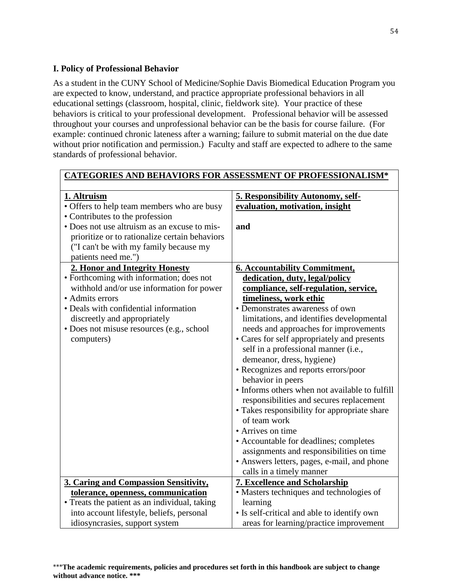## <span id="page-55-0"></span>**I. Policy of Professional Behavior**

As a student in the CUNY School of Medicine/Sophie Davis Biomedical Education Program you are expected to know, understand, and practice appropriate professional behaviors in all educational settings (classroom, hospital, clinic, fieldwork site). Your practice of these behaviors is critical to your professional development. Professional behavior will be assessed throughout your courses and unprofessional behavior can be the basis for course failure. (For example: continued chronic lateness after a warning; failure to submit material on the due date without prior notification and permission.) Faculty and staff are expected to adhere to the same standards of professional behavior.

| <b>CATEGORIES AND BEHAVIORS FOR ASSESSMENT OF PROFESSIONALISM*</b> |                                                |
|--------------------------------------------------------------------|------------------------------------------------|
| 1. Altruism                                                        | <b>5. Responsibility Autonomy, self-</b>       |
| • Offers to help team members who are busy                         | evaluation, motivation, insight                |
| • Contributes to the profession                                    |                                                |
| • Does not use altruism as an excuse to mis-                       | and                                            |
| prioritize or to rationalize certain behaviors                     |                                                |
| ("I can't be with my family because my                             |                                                |
| patients need me.")                                                |                                                |
| 2. Honor and Integrity Honesty                                     | <b>6. Accountability Commitment,</b>           |
| • Forthcoming with information; does not                           | dedication, duty, legal/policy                 |
| withhold and/or use information for power                          | compliance, self-regulation, service,          |
| • Admits errors                                                    | timeliness, work ethic                         |
| • Deals with confidential information                              | • Demonstrates awareness of own                |
| discreetly and appropriately                                       | limitations, and identifies developmental      |
| • Does not misuse resources (e.g., school                          | needs and approaches for improvements          |
| computers)                                                         | • Cares for self appropriately and presents    |
|                                                                    | self in a professional manner (i.e.,           |
|                                                                    | demeanor, dress, hygiene)                      |
|                                                                    | • Recognizes and reports errors/poor           |
|                                                                    | behavior in peers                              |
|                                                                    | • Informs others when not available to fulfill |
|                                                                    | responsibilities and secures replacement       |
|                                                                    | • Takes responsibility for appropriate share   |
|                                                                    | of team work                                   |
|                                                                    | • Arrives on time                              |
|                                                                    | • Accountable for deadlines; completes         |
|                                                                    | assignments and responsibilities on time       |
|                                                                    | • Answers letters, pages, e-mail, and phone    |
|                                                                    | calls in a timely manner                       |
| 3. Caring and Compassion Sensitivity,                              | <b>7. Excellence and Scholarship</b>           |
| tolerance, openness, communication                                 | • Masters techniques and technologies of       |
| • Treats the patient as an individual, taking                      | learning                                       |
| into account lifestyle, beliefs, personal                          | • Is self-critical and able to identify own    |
| idiosyncrasies, support system                                     | areas for learning/practice improvement        |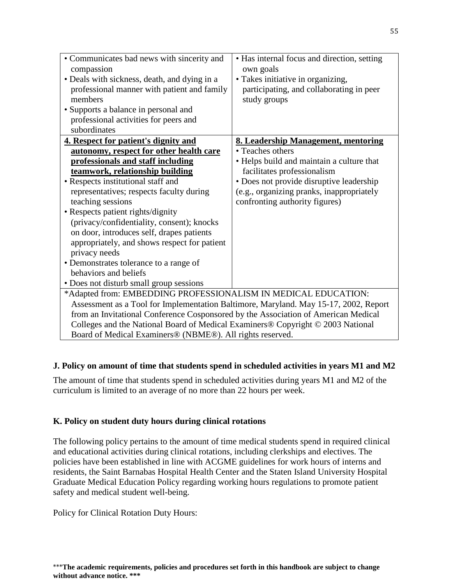| • Communicates bad news with sincerity and<br>compassion<br>• Deals with sickness, death, and dying in a<br>professional manner with patient and family<br>members<br>• Supports a balance in personal and<br>professional activities for peers and<br>subordinates | • Has internal focus and direction, setting<br>own goals<br>• Takes initiative in organizing,<br>participating, and collaborating in peer<br>study groups |
|---------------------------------------------------------------------------------------------------------------------------------------------------------------------------------------------------------------------------------------------------------------------|-----------------------------------------------------------------------------------------------------------------------------------------------------------|
| 4. Respect for patient's dignity and<br>autonomy, respect for other health care                                                                                                                                                                                     | <b>8. Leadership Management, mentoring</b><br>• Teaches others                                                                                            |
| professionals and staff including                                                                                                                                                                                                                                   | • Helps build and maintain a culture that                                                                                                                 |
| teamwork, relationship building                                                                                                                                                                                                                                     | facilitates professionalism                                                                                                                               |
| • Respects institutional staff and                                                                                                                                                                                                                                  | • Does not provide disruptive leadership                                                                                                                  |
| representatives; respects faculty during                                                                                                                                                                                                                            | (e.g., organizing pranks, inappropriately                                                                                                                 |
| teaching sessions                                                                                                                                                                                                                                                   | confronting authority figures)                                                                                                                            |
| • Respects patient rights/dignity                                                                                                                                                                                                                                   |                                                                                                                                                           |
| (privacy/confidentiality, consent); knocks                                                                                                                                                                                                                          |                                                                                                                                                           |
| on door, introduces self, drapes patients                                                                                                                                                                                                                           |                                                                                                                                                           |
| appropriately, and shows respect for patient                                                                                                                                                                                                                        |                                                                                                                                                           |
| privacy needs                                                                                                                                                                                                                                                       |                                                                                                                                                           |
| • Demonstrates tolerance to a range of                                                                                                                                                                                                                              |                                                                                                                                                           |
| behaviors and beliefs                                                                                                                                                                                                                                               |                                                                                                                                                           |
| • Does not disturb small group sessions                                                                                                                                                                                                                             |                                                                                                                                                           |
| *Adapted from: EMBEDDING PROFESSIONALISM IN MEDICAL EDUCATION:                                                                                                                                                                                                      |                                                                                                                                                           |
| Assessment as a Tool for Implementation Baltimore, Maryland. May 15-17, 2002, Report                                                                                                                                                                                |                                                                                                                                                           |
| from an Invitational Conference Cosponsored by the Association of American Medical                                                                                                                                                                                  |                                                                                                                                                           |
| Colleges and the National Board of Medical Examiners® Copyright © 2003 National                                                                                                                                                                                     |                                                                                                                                                           |
| Board of Medical Examiners® (NBME®). All rights reserved.                                                                                                                                                                                                           |                                                                                                                                                           |

#### <span id="page-56-0"></span>**J. Policy on amount of time that students spend in scheduled activities in years M1 and M2**

The amount of time that students spend in scheduled activities during years M1 and M2 of the curriculum is limited to an average of no more than 22 hours per week.

#### <span id="page-56-1"></span>**K. Policy on student duty hours during clinical rotations**

The following policy pertains to the amount of time medical students spend in required clinical and educational activities during clinical rotations, including clerkships and electives. The policies have been established in line with ACGME guidelines for work hours of interns and residents, the Saint Barnabas Hospital Health Center and the Staten Island University Hospital Graduate Medical Education Policy regarding working hours regulations to promote patient safety and medical student well-being.

Policy for Clinical Rotation Duty Hours: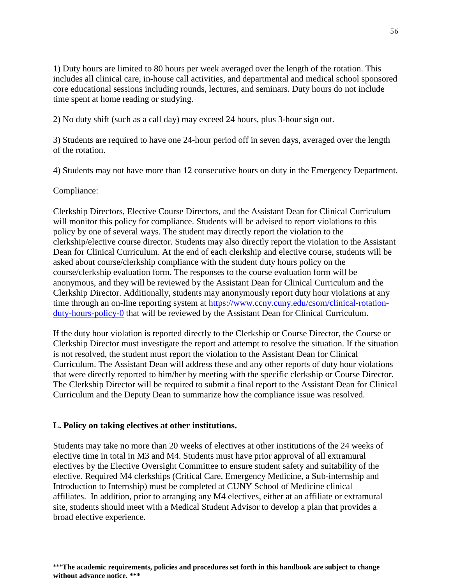1) Duty hours are limited to 80 hours per week averaged over the length of the rotation. This includes all clinical care, in-house call activities, and departmental and medical school sponsored core educational sessions including rounds, lectures, and seminars. Duty hours do not include time spent at home reading or studying.

2) No duty shift (such as a call day) may exceed 24 hours, plus 3-hour sign out.

3) Students are required to have one 24-hour period off in seven days, averaged over the length of the rotation.

4) Students may not have more than 12 consecutive hours on duty in the Emergency Department.

Compliance:

Clerkship Directors, Elective Course Directors, and the Assistant Dean for Clinical Curriculum will monitor this policy for compliance. Students will be advised to report violations to this policy by one of several ways. The student may directly report the violation to the clerkship/elective course director. Students may also directly report the violation to the Assistant Dean for Clinical Curriculum. At the end of each clerkship and elective course, students will be asked about course/clerkship compliance with the student duty hours policy on the course/clerkship evaluation form. The responses to the course evaluation form will be anonymous, and they will be reviewed by the Assistant Dean for Clinical Curriculum and the Clerkship Director. Additionally, students may anonymously report duty hour violations at any time through an on-line reporting system at [https://www.ccny.cuny.edu/csom/clinical-rotation](https://www.ccny.cuny.edu/csom/clinical-rotation-duty-hours-policy-0)[duty-hours-policy-0](https://www.ccny.cuny.edu/csom/clinical-rotation-duty-hours-policy-0) that will be reviewed by the Assistant Dean for Clinical Curriculum.

If the duty hour violation is reported directly to the Clerkship or Course Director, the Course or Clerkship Director must investigate the report and attempt to resolve the situation. If the situation is not resolved, the student must report the violation to the Assistant Dean for Clinical Curriculum. The Assistant Dean will address these and any other reports of duty hour violations that were directly reported to him/her by meeting with the specific clerkship or Course Director. The Clerkship Director will be required to submit a final report to the Assistant Dean for Clinical Curriculum and the Deputy Dean to summarize how the compliance issue was resolved.

## <span id="page-57-0"></span>**L. Policy on taking electives at other institutions.**

Students may take no more than 20 weeks of electives at other institutions of the 24 weeks of elective time in total in M3 and M4. Students must have prior approval of all extramural electives by the Elective Oversight Committee to ensure student safety and suitability of the elective. Required M4 clerkships (Critical Care, Emergency Medicine, a Sub-internship and Introduction to Internship) must be completed at CUNY School of Medicine clinical affiliates. In addition, prior to arranging any M4 electives, either at an affiliate or extramural site, students should meet with a Medical Student Advisor to develop a plan that provides a broad elective experience.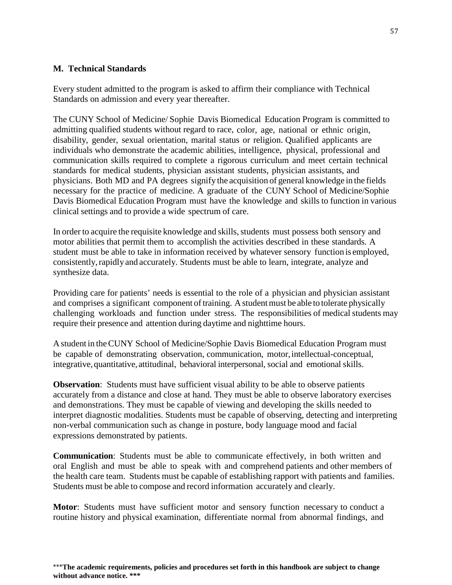#### <span id="page-58-0"></span>**M. Technical Standards**

Every student admitted to the program is asked to affirm their compliance with Technical Standards on admission and every year thereafter.

The CUNY School of Medicine/ Sophie Davis Biomedical Education Program is committed to admitting qualified students without regard to race, color, age, national or ethnic origin, disability, gender, sexual orientation, marital status or religion. Qualified applicants are individuals who demonstrate the academic abilities, intelligence, physical, professional and communication skills required to complete a rigorous curriculum and meet certain technical standards for medical students, physician assistant students, physician assistants, and physicians. Both MD and PA degrees signify the acquisition of general knowledge in the fields necessary for the practice of medicine. A graduate of the CUNY School of Medicine/Sophie Davis Biomedical Education Program must have the knowledge and skills to function in various clinical settings and to provide a wide spectrum of care.

In order to acquire the requisite knowledge and skills, students must possess both sensory and motor abilities that permit them to accomplish the activities described in these standards. A student must be able to take in information received by whatever sensory function is employed, consistently, rapidly and accurately. Students must be able to learn, integrate, analyze and synthesize data.

Providing care for patients' needs is essential to the role of a physician and physician assistant and comprises a significant component of training. A student must be able to tolerate physically challenging workloads and function under stress. The responsibilities of medical students may require their presence and attention during daytime and nighttime hours.

A student in theCUNY School of Medicine/Sophie Davis Biomedical Education Program must be capable of demonstrating observation, communication, motor,intellectual-conceptual, integrative,quantitative, attitudinal, behavioral interpersonal, social and emotional skills.

**Observation**: Students must have sufficient visual ability to be able to observe patients accurately from a distance and close at hand. They must be able to observe laboratory exercises and demonstrations. They must be capable of viewing and developing the skills needed to interpret diagnostic modalities. Students must be capable of observing, detecting and interpreting non-verbal communication such as change in posture, body language mood and facial expressions demonstrated by patients.

**Communication**: Students must be able to communicate effectively, in both written and oral English and must be able to speak with and comprehend patients and other members of the health care team. Students must be capable of establishing rapport with patients and families. Students must be able to compose and record information accurately and clearly.

**Motor**: Students must have sufficient motor and sensory function necessary to conduct a routine history and physical examination, differentiate normal from abnormal findings, and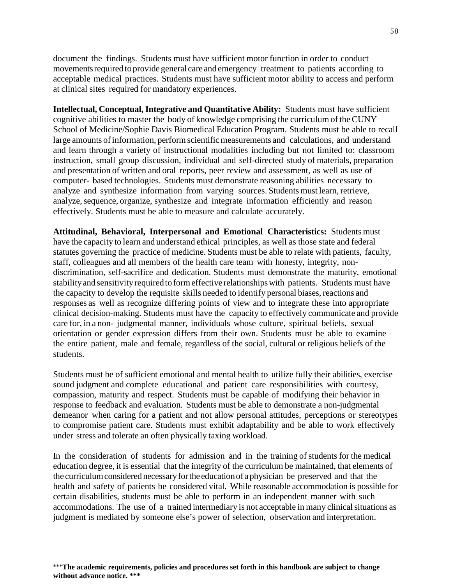document the findings. Students must have sufficient motor function in order to conduct movementsrequired to provide general care and emergency treatment to patients according to acceptable medical practices. Students must have sufficient motor ability to access and perform at clinical sites required for mandatory experiences.

**Intellectual, Conceptual, Integrative and Quantitative Ability:** Students must have sufficient cognitive abilities to master the body of knowledge comprising the curriculum of theCUNY School of Medicine/Sophie Davis Biomedical Education Program. Students must be able to recall large amounts of information, perform scientific measurements and calculations, and understand and learn through a variety of instructional modalities including but not limited to: classroom instruction, small group discussion, individual and self-directed study of materials, preparation and presentation of written and oral reports, peer review and assessment, as well as use of computer- based technologies. Students must demonstrate reasoning abilities necessary to analyze and synthesize information from varying sources. Students must learn, retrieve, analyze, sequence, organize, synthesize and integrate information efficiently and reason effectively. Students must be able to measure and calculate accurately.

**Attitudinal, Behavioral, Interpersonal and Emotional Characteristics:** Students must have the capacity to learn and understand ethical principles, as well as those state and federal statutes governing the practice of medicine. Students must be able to relate with patients, faculty, staff, colleagues and all members of the health care team with honesty, integrity, nondiscrimination, self-sacrifice and dedication. Students must demonstrate the maturity, emotional stability and sensitivity required to form effective relationships with patients. Students must have the capacity to develop the requisite skills needed to identify personal biases, reactions and responses as well as recognize differing points of view and to integrate these into appropriate clinical decision-making. Students must have the capacity to effectively communicate and provide care for, in a non- judgmental manner, individuals whose culture, spiritual beliefs, sexual orientation or gender expression differs from their own. Students must be able to examine the entire patient, male and female, regardless of the social, cultural or religious beliefs of the students.

Students must be of sufficient emotional and mental health to utilize fully their abilities, exercise sound judgment and complete educational and patient care responsibilities with courtesy, compassion, maturity and respect. Students must be capable of modifying their behavior in response to feedback and evaluation. Students must be able to demonstrate a non-judgmental demeanor when caring for a patient and not allow personal attitudes, perceptions or stereotypes to compromise patient care. Students must exhibit adaptability and be able to work effectively under stress and tolerate an often physically taxing workload.

In the consideration of students for admission and in the training of students for the medical education degree, it is essential that the integrity of the curriculum be maintained, that elements of the curriculumconsidered necessaryforthe educationof a physician be preserved and that the health and safety of patients be considered vital. While reasonable accommodation is possible for certain disabilities, students must be able to perform in an independent manner with such accommodations. The use of a trained intermediary is not acceptable in many clinical situations as judgment is mediated by someone else's power of selection, observation and interpretation.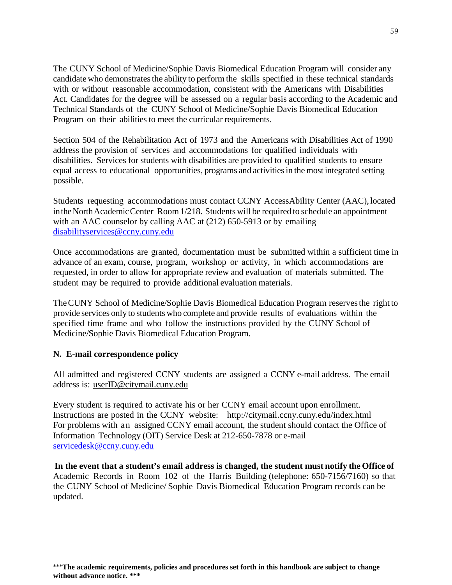The CUNY School of Medicine/Sophie Davis Biomedical Education Program will consider any candidate who demonstrates the ability to perform the skills specified in these technical standards with or without reasonable accommodation, consistent with the Americans with Disabilities Act. Candidates for the degree will be assessed on a regular basis according to the Academic and Technical Standards of the CUNY School of Medicine/Sophie Davis Biomedical Education Program on their abilities to meet the curricular requirements.

Section 504 of the Rehabilitation Act of 1973 and the Americans with Disabilities Act of 1990 address the provision of services and accommodations for qualified individuals with disabilities. Services for students with disabilities are provided to qualified students to ensure equal access to educational opportunities, programs and activitiesin the most integrated setting possible.

Students requesting accommodations must contact CCNY AccessAbility Center (AAC), located in the North Academic Center Room 1/218. Students will be required to schedule an appointment with an AAC counselor by calling AAC at (212) 650-5913 or by emailing [disabilityservices@ccny.cuny.edu](mailto:disabilityservices@ccny.cuny.edu)

Once accommodations are granted, documentation must be submitted within a sufficient time in advance of an exam, course, program, workshop or activity, in which accommodations are requested, in order to allow for appropriate review and evaluation of materials submitted. The student may be required to provide additional evaluation materials.

TheCUNY School of Medicine/Sophie Davis Biomedical Education Program reservesthe right to provide services only to students who complete and provide results of evaluations within the specified time frame and who follow the instructions provided by the CUNY School of Medicine/Sophie Davis Biomedical Education Program.

#### <span id="page-60-0"></span>**N. E-mail correspondence policy**

All admitted and registered CCNY students are assigned a CCNY e-mail address. The email address is: [userID@citymail.cuny.edu](mailto:userID@citymail.cuny.edu)

Every student is required to activate his or her CCNY email account upon enrollment. Instructions are posted in the CCNY website: <http://citymail.ccny.cuny.edu/index.html> For problems with an assigned CCNY email account, the student should contact the Office of Information Technology (OIT) Service Desk at 212-650-7878 or e-mail [servicedesk@ccny.cuny.edu](mailto:servicedesk@ccny.cuny.edu)

**In the event that a student's email address is changed, the student must notify the Office of** Academic Records in Room 102 of the Harris Building (telephone: 650-7156/7160) so that the CUNY School of Medicine/ Sophie Davis Biomedical Education Program records can be updated.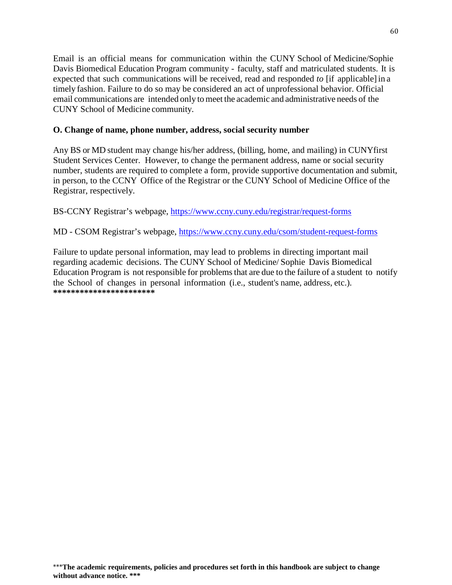Email is an official means for communication within the CUNY School of Medicine/Sophie Davis Biomedical Education Program community - faculty, staff and matriculated students. It is expected that such communications will be received, read and responded *to* [if applicable]in a timely fashion. Failure to do so may be considered an act of unprofessional behavior. Official email communications are intended only to meet the academic and administrative needs of the CUNY School of Medicine community.

## <span id="page-61-0"></span>**O. Change of name, phone number, address, social security number**

Any BS or MD student may change his/her address, (billing, home, and mailing) in CUNYfirst Student Services Center. However, to change the permanent address, name or social security number, students are required to complete a form, provide supportive documentation and submit, in person, to the CCNY Office of the Registrar or the CUNY School of Medicine Office of the Registrar, respectively.

BS-CCNY Registrar's webpage,<https://www.ccny.cuny.edu/registrar/request-forms>

## MD - CSOM Registrar's webpage,<https://www.ccny.cuny.edu/csom/student-request-forms>

Failure to update personal information, may lead to problems in directing important mail regarding academic decisions. The CUNY School of Medicine/ Sophie Davis Biomedical Education Program is not responsible for problems that are due to the failure of a student to notify the School of changes in personal information (i.e., student's name, address, etc.). **\*\*\*\*\*\*\*\*\*\*\*\*\*\*\*\*\*\*\*\*\*\*\***